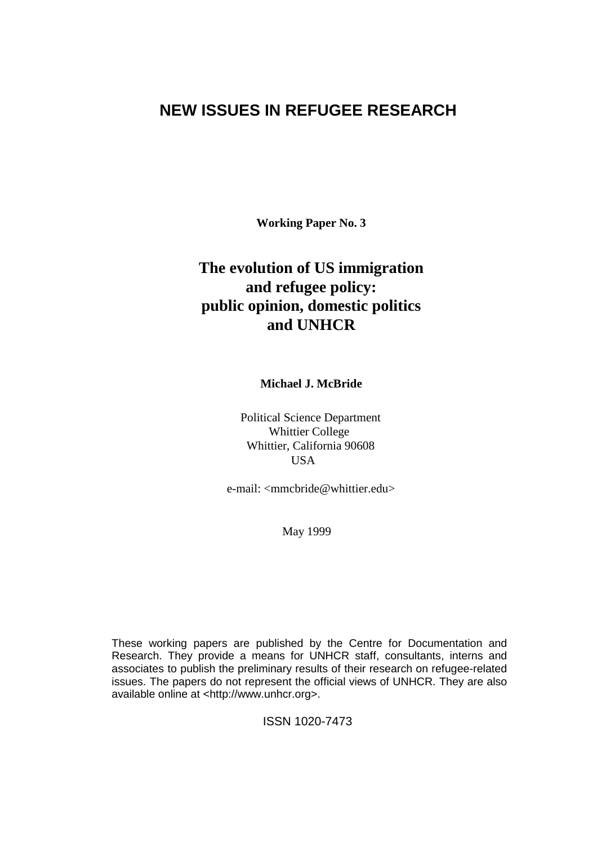# **NEW ISSUES IN REFUGEE RESEARCH**

**Working Paper No. 3** 

# **The evolution of US immigration and refugee policy: public opinion, domestic politics and UNHCR**

**Michael J. McBride** 

 Political Science Department Whittier College Whittier, California 90608 **USA** 

e-mail: <mmcbride@whittier.edu>

May 1999

These working papers are published by the Centre for Documentation and Research. They provide a means for UNHCR staff, consultants, interns and associates to publish the preliminary results of their research on refugee-related issues. The papers do not represent the official views of UNHCR. They are also available online at <http://www.unhcr.org>.

ISSN 1020-7473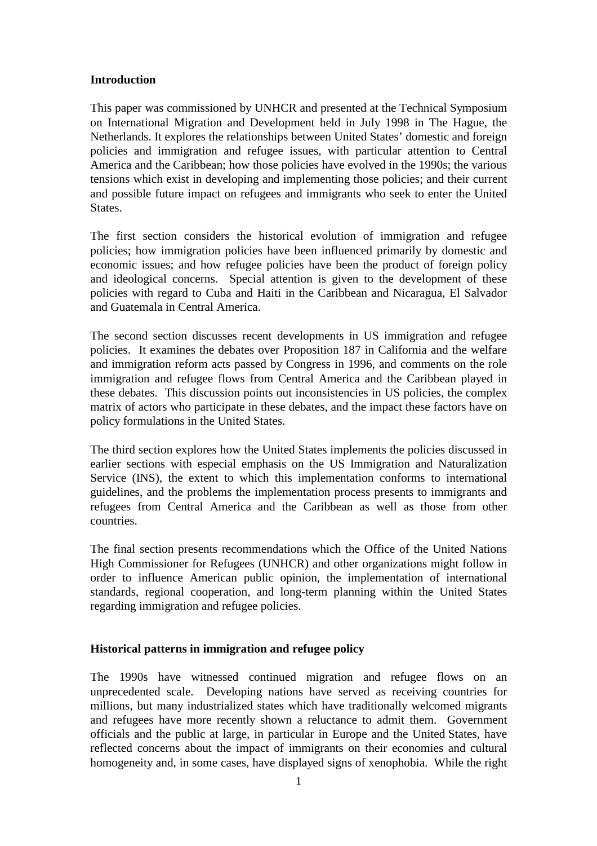# **Introduction**

This paper was commissioned by UNHCR and presented at the Technical Symposium on International Migration and Development held in July 1998 in The Hague, the Netherlands. It explores the relationships between United States' domestic and foreign policies and immigration and refugee issues, with particular attention to Central America and the Caribbean; how those policies have evolved in the 1990s; the various tensions which exist in developing and implementing those policies; and their current and possible future impact on refugees and immigrants who seek to enter the United States.

The first section considers the historical evolution of immigration and refugee policies; how immigration policies have been influenced primarily by domestic and economic issues; and how refugee policies have been the product of foreign policy and ideological concerns. Special attention is given to the development of these policies with regard to Cuba and Haiti in the Caribbean and Nicaragua, El Salvador and Guatemala in Central America.

The second section discusses recent developments in US immigration and refugee policies. It examines the debates over Proposition 187 in California and the welfare and immigration reform acts passed by Congress in 1996, and comments on the role immigration and refugee flows from Central America and the Caribbean played in these debates. This discussion points out inconsistencies in US policies, the complex matrix of actors who participate in these debates, and the impact these factors have on policy formulations in the United States.

The third section explores how the United States implements the policies discussed in earlier sections with especial emphasis on the US Immigration and Naturalization Service (INS), the extent to which this implementation conforms to international guidelines, and the problems the implementation process presents to immigrants and refugees from Central America and the Caribbean as well as those from other countries.

The final section presents recommendations which the Office of the United Nations High Commissioner for Refugees (UNHCR) and other organizations might follow in order to influence American public opinion, the implementation of international standards, regional cooperation, and long-term planning within the United States regarding immigration and refugee policies.

# **Historical patterns in immigration and refugee policy**

The 1990s have witnessed continued migration and refugee flows on an unprecedented scale. Developing nations have served as receiving countries for millions, but many industrialized states which have traditionally welcomed migrants and refugees have more recently shown a reluctance to admit them. Government officials and the public at large, in particular in Europe and the United States, have reflected concerns about the impact of immigrants on their economies and cultural homogeneity and, in some cases, have displayed signs of xenophobia. While the right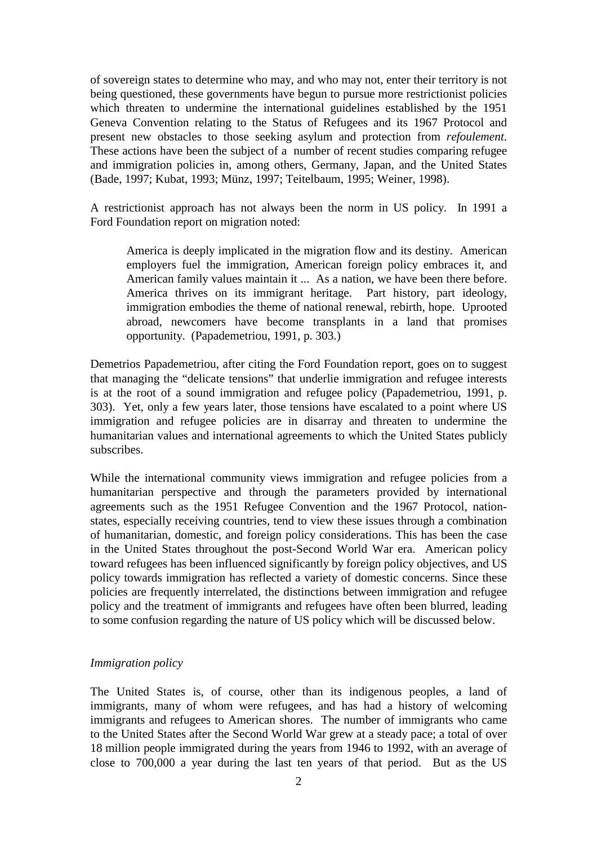of sovereign states to determine who may, and who may not, enter their territory is not being questioned, these governments have begun to pursue more restrictionist policies which threaten to undermine the international guidelines established by the 1951 Geneva Convention relating to the Status of Refugees and its 1967 Protocol and present new obstacles to those seeking asylum and protection from *refoulement*. These actions have been the subject of a number of recent studies comparing refugee and immigration policies in, among others, Germany, Japan, and the United States (Bade, 1997; Kubat, 1993; Münz, 1997; Teitelbaum, 1995; Weiner, 1998).

A restrictionist approach has not always been the norm in US policy. In 1991 a Ford Foundation report on migration noted:

America is deeply implicated in the migration flow and its destiny. American employers fuel the immigration, American foreign policy embraces it, and American family values maintain it ... As a nation, we have been there before. America thrives on its immigrant heritage. Part history, part ideology, immigration embodies the theme of national renewal, rebirth, hope. Uprooted abroad, newcomers have become transplants in a land that promises opportunity. (Papademetriou, 1991, p. 303.)

Demetrios Papademetriou, after citing the Ford Foundation report, goes on to suggest that managing the "delicate tensions" that underlie immigration and refugee interests is at the root of a sound immigration and refugee policy (Papademetriou, 1991, p. 303). Yet, only a few years later, those tensions have escalated to a point where US immigration and refugee policies are in disarray and threaten to undermine the humanitarian values and international agreements to which the United States publicly subscribes.

While the international community views immigration and refugee policies from a humanitarian perspective and through the parameters provided by international agreements such as the 1951 Refugee Convention and the 1967 Protocol, nationstates, especially receiving countries, tend to view these issues through a combination of humanitarian, domestic, and foreign policy considerations. This has been the case in the United States throughout the post-Second World War era. American policy toward refugees has been influenced significantly by foreign policy objectives, and US policy towards immigration has reflected a variety of domestic concerns. Since these policies are frequently interrelated, the distinctions between immigration and refugee policy and the treatment of immigrants and refugees have often been blurred, leading to some confusion regarding the nature of US policy which will be discussed below.

#### *Immigration policy*

The United States is, of course, other than its indigenous peoples, a land of immigrants, many of whom were refugees, and has had a history of welcoming immigrants and refugees to American shores. The number of immigrants who came to the United States after the Second World War grew at a steady pace; a total of over 18 million people immigrated during the years from 1946 to 1992, with an average of close to 700,000 a year during the last ten years of that period. But as the US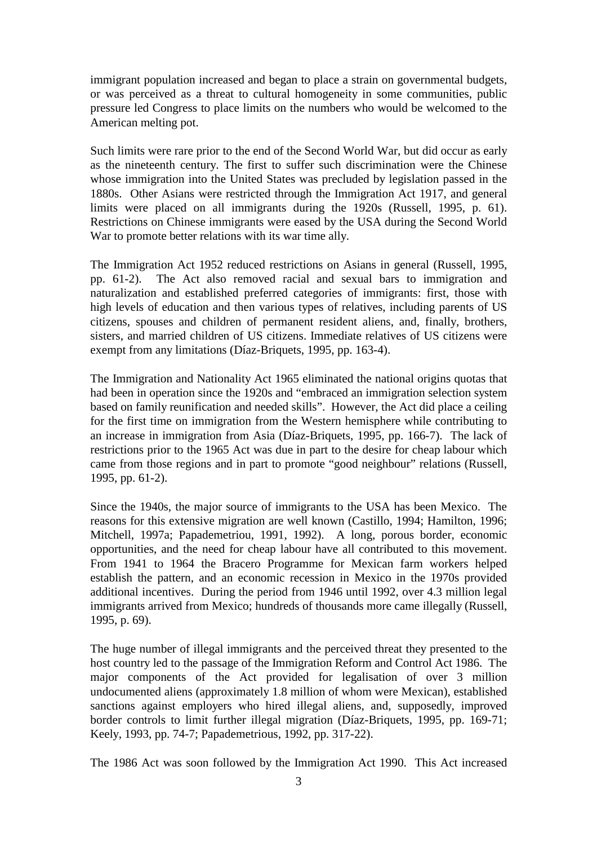immigrant population increased and began to place a strain on governmental budgets, or was perceived as a threat to cultural homogeneity in some communities, public pressure led Congress to place limits on the numbers who would be welcomed to the American melting pot.

Such limits were rare prior to the end of the Second World War, but did occur as early as the nineteenth century. The first to suffer such discrimination were the Chinese whose immigration into the United States was precluded by legislation passed in the 1880s. Other Asians were restricted through the Immigration Act 1917, and general limits were placed on all immigrants during the 1920s (Russell, 1995, p. 61). Restrictions on Chinese immigrants were eased by the USA during the Second World War to promote better relations with its war time ally.

The Immigration Act 1952 reduced restrictions on Asians in general (Russell, 1995, pp. 61-2). The Act also removed racial and sexual bars to immigration and naturalization and established preferred categories of immigrants: first, those with high levels of education and then various types of relatives, including parents of US citizens, spouses and children of permanent resident aliens, and, finally, brothers, sisters, and married children of US citizens. Immediate relatives of US citizens were exempt from any limitations (Díaz-Briquets, 1995, pp. 163-4).

The Immigration and Nationality Act 1965 eliminated the national origins quotas that had been in operation since the 1920s and "embraced an immigration selection system based on family reunification and needed skills". However, the Act did place a ceiling for the first time on immigration from the Western hemisphere while contributing to an increase in immigration from Asia (Díaz-Briquets, 1995, pp. 166-7). The lack of restrictions prior to the 1965 Act was due in part to the desire for cheap labour which came from those regions and in part to promote "good neighbour" relations (Russell, 1995, pp. 61-2).

Since the 1940s, the major source of immigrants to the USA has been Mexico. The reasons for this extensive migration are well known (Castillo, 1994; Hamilton, 1996; Mitchell, 1997a; Papademetriou, 1991, 1992). A long, porous border, economic opportunities, and the need for cheap labour have all contributed to this movement. From 1941 to 1964 the Bracero Programme for Mexican farm workers helped establish the pattern, and an economic recession in Mexico in the 1970s provided additional incentives. During the period from 1946 until 1992, over 4.3 million legal immigrants arrived from Mexico; hundreds of thousands more came illegally (Russell, 1995, p. 69).

The huge number of illegal immigrants and the perceived threat they presented to the host country led to the passage of the Immigration Reform and Control Act 1986. The major components of the Act provided for legalisation of over 3 million undocumented aliens (approximately 1.8 million of whom were Mexican), established sanctions against employers who hired illegal aliens, and, supposedly, improved border controls to limit further illegal migration (Díaz-Briquets, 1995, pp. 169-71; Keely, 1993, pp. 74-7; Papademetrious, 1992, pp. 317-22).

The 1986 Act was soon followed by the Immigration Act 1990. This Act increased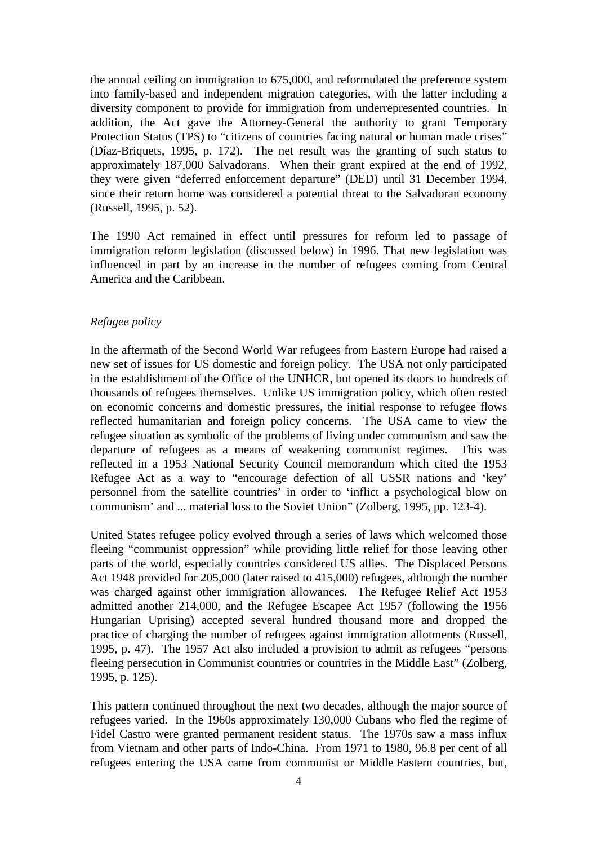the annual ceiling on immigration to 675,000, and reformulated the preference system into family-based and independent migration categories, with the latter including a diversity component to provide for immigration from underrepresented countries. In addition, the Act gave the Attorney-General the authority to grant Temporary Protection Status (TPS) to "citizens of countries facing natural or human made crises" (Díaz-Briquets, 1995, p. 172). The net result was the granting of such status to approximately 187,000 Salvadorans. When their grant expired at the end of 1992, they were given "deferred enforcement departure" (DED) until 31 December 1994, since their return home was considered a potential threat to the Salvadoran economy (Russell, 1995, p. 52).

The 1990 Act remained in effect until pressures for reform led to passage of immigration reform legislation (discussed below) in 1996. That new legislation was influenced in part by an increase in the number of refugees coming from Central America and the Caribbean.

#### *Refugee policy*

In the aftermath of the Second World War refugees from Eastern Europe had raised a new set of issues for US domestic and foreign policy. The USA not only participated in the establishment of the Office of the UNHCR, but opened its doors to hundreds of thousands of refugees themselves. Unlike US immigration policy, which often rested on economic concerns and domestic pressures, the initial response to refugee flows reflected humanitarian and foreign policy concerns. The USA came to view the refugee situation as symbolic of the problems of living under communism and saw the departure of refugees as a means of weakening communist regimes. This was reflected in a 1953 National Security Council memorandum which cited the 1953 Refugee Act as a way to "encourage defection of all USSR nations and 'key' personnel from the satellite countries' in order to 'inflict a psychological blow on communism' and ... material loss to the Soviet Union" (Zolberg, 1995, pp. 123-4).

United States refugee policy evolved through a series of laws which welcomed those fleeing "communist oppression" while providing little relief for those leaving other parts of the world, especially countries considered US allies. The Displaced Persons Act 1948 provided for 205,000 (later raised to 415,000) refugees, although the number was charged against other immigration allowances. The Refugee Relief Act 1953 admitted another 214,000, and the Refugee Escapee Act 1957 (following the 1956 Hungarian Uprising) accepted several hundred thousand more and dropped the practice of charging the number of refugees against immigration allotments (Russell, 1995, p. 47). The 1957 Act also included a provision to admit as refugees "persons fleeing persecution in Communist countries or countries in the Middle East" (Zolberg, 1995, p. 125).

This pattern continued throughout the next two decades, although the major source of refugees varied. In the 1960s approximately 130,000 Cubans who fled the regime of Fidel Castro were granted permanent resident status. The 1970s saw a mass influx from Vietnam and other parts of Indo-China. From 1971 to 1980, 96.8 per cent of all refugees entering the USA came from communist or Middle Eastern countries, but,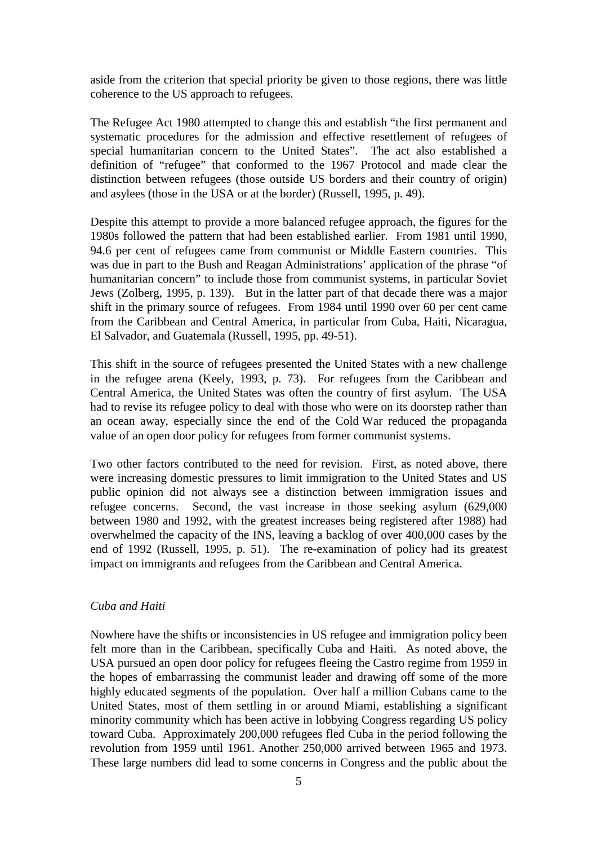aside from the criterion that special priority be given to those regions, there was little coherence to the US approach to refugees.

The Refugee Act 1980 attempted to change this and establish "the first permanent and systematic procedures for the admission and effective resettlement of refugees of special humanitarian concern to the United States". The act also established a definition of "refugee" that conformed to the 1967 Protocol and made clear the distinction between refugees (those outside US borders and their country of origin) and asylees (those in the USA or at the border) (Russell, 1995, p. 49).

Despite this attempt to provide a more balanced refugee approach, the figures for the 1980s followed the pattern that had been established earlier. From 1981 until 1990, 94.6 per cent of refugees came from communist or Middle Eastern countries. This was due in part to the Bush and Reagan Administrations' application of the phrase "of humanitarian concern" to include those from communist systems, in particular Soviet Jews (Zolberg, 1995, p. 139). But in the latter part of that decade there was a major shift in the primary source of refugees. From 1984 until 1990 over 60 per cent came from the Caribbean and Central America, in particular from Cuba, Haiti, Nicaragua, El Salvador, and Guatemala (Russell, 1995, pp. 49-51).

This shift in the source of refugees presented the United States with a new challenge in the refugee arena (Keely, 1993, p. 73). For refugees from the Caribbean and Central America, the United States was often the country of first asylum. The USA had to revise its refugee policy to deal with those who were on its doorstep rather than an ocean away, especially since the end of the Cold War reduced the propaganda value of an open door policy for refugees from former communist systems.

Two other factors contributed to the need for revision. First, as noted above, there were increasing domestic pressures to limit immigration to the United States and US public opinion did not always see a distinction between immigration issues and refugee concerns. Second, the vast increase in those seeking asylum (629,000 between 1980 and 1992, with the greatest increases being registered after 1988) had overwhelmed the capacity of the INS, leaving a backlog of over 400,000 cases by the end of 1992 (Russell, 1995, p. 51). The re-examination of policy had its greatest impact on immigrants and refugees from the Caribbean and Central America.

## *Cuba and Haiti*

Nowhere have the shifts or inconsistencies in US refugee and immigration policy been felt more than in the Caribbean, specifically Cuba and Haiti. As noted above, the USA pursued an open door policy for refugees fleeing the Castro regime from 1959 in the hopes of embarrassing the communist leader and drawing off some of the more highly educated segments of the population. Over half a million Cubans came to the United States, most of them settling in or around Miami, establishing a significant minority community which has been active in lobbying Congress regarding US policy toward Cuba. Approximately 200,000 refugees fled Cuba in the period following the revolution from 1959 until 1961. Another 250,000 arrived between 1965 and 1973. These large numbers did lead to some concerns in Congress and the public about the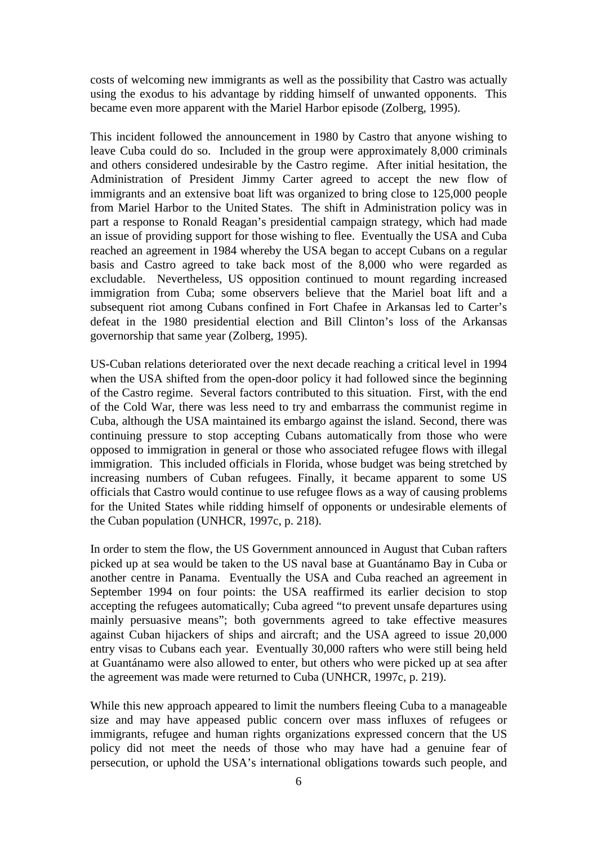costs of welcoming new immigrants as well as the possibility that Castro was actually using the exodus to his advantage by ridding himself of unwanted opponents. This became even more apparent with the Mariel Harbor episode (Zolberg, 1995).

This incident followed the announcement in 1980 by Castro that anyone wishing to leave Cuba could do so. Included in the group were approximately 8,000 criminals and others considered undesirable by the Castro regime. After initial hesitation, the Administration of President Jimmy Carter agreed to accept the new flow of immigrants and an extensive boat lift was organized to bring close to 125,000 people from Mariel Harbor to the United States. The shift in Administration policy was in part a response to Ronald Reagan's presidential campaign strategy, which had made an issue of providing support for those wishing to flee. Eventually the USA and Cuba reached an agreement in 1984 whereby the USA began to accept Cubans on a regular basis and Castro agreed to take back most of the 8,000 who were regarded as excludable. Nevertheless, US opposition continued to mount regarding increased immigration from Cuba; some observers believe that the Mariel boat lift and a subsequent riot among Cubans confined in Fort Chafee in Arkansas led to Carter's defeat in the 1980 presidential election and Bill Clinton's loss of the Arkansas governorship that same year (Zolberg, 1995).

US-Cuban relations deteriorated over the next decade reaching a critical level in 1994 when the USA shifted from the open-door policy it had followed since the beginning of the Castro regime. Several factors contributed to this situation. First, with the end of the Cold War, there was less need to try and embarrass the communist regime in Cuba, although the USA maintained its embargo against the island. Second, there was continuing pressure to stop accepting Cubans automatically from those who were opposed to immigration in general or those who associated refugee flows with illegal immigration. This included officials in Florida, whose budget was being stretched by increasing numbers of Cuban refugees. Finally, it became apparent to some US officials that Castro would continue to use refugee flows as a way of causing problems for the United States while ridding himself of opponents or undesirable elements of the Cuban population (UNHCR, 1997c, p. 218).

In order to stem the flow, the US Government announced in August that Cuban rafters picked up at sea would be taken to the US naval base at Guantánamo Bay in Cuba or another centre in Panama. Eventually the USA and Cuba reached an agreement in September 1994 on four points: the USA reaffirmed its earlier decision to stop accepting the refugees automatically; Cuba agreed "to prevent unsafe departures using mainly persuasive means"; both governments agreed to take effective measures against Cuban hijackers of ships and aircraft; and the USA agreed to issue 20,000 entry visas to Cubans each year. Eventually 30,000 rafters who were still being held at Guantánamo were also allowed to enter, but others who were picked up at sea after the agreement was made were returned to Cuba (UNHCR, 1997c, p. 219).

While this new approach appeared to limit the numbers fleeing Cuba to a manageable size and may have appeased public concern over mass influxes of refugees or immigrants, refugee and human rights organizations expressed concern that the US policy did not meet the needs of those who may have had a genuine fear of persecution, or uphold the USA's international obligations towards such people, and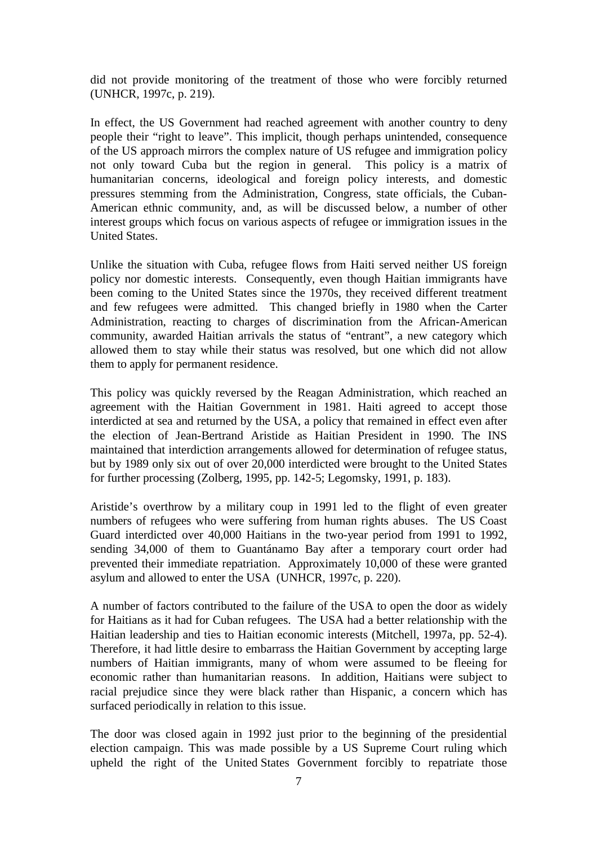did not provide monitoring of the treatment of those who were forcibly returned (UNHCR, 1997c, p. 219).

In effect, the US Government had reached agreement with another country to deny people their "right to leave". This implicit, though perhaps unintended, consequence of the US approach mirrors the complex nature of US refugee and immigration policy not only toward Cuba but the region in general. This policy is a matrix of humanitarian concerns, ideological and foreign policy interests, and domestic pressures stemming from the Administration, Congress, state officials, the Cuban-American ethnic community, and, as will be discussed below, a number of other interest groups which focus on various aspects of refugee or immigration issues in the United States.

Unlike the situation with Cuba, refugee flows from Haiti served neither US foreign policy nor domestic interests. Consequently, even though Haitian immigrants have been coming to the United States since the 1970s, they received different treatment and few refugees were admitted. This changed briefly in 1980 when the Carter Administration, reacting to charges of discrimination from the African-American community, awarded Haitian arrivals the status of "entrant", a new category which allowed them to stay while their status was resolved, but one which did not allow them to apply for permanent residence.

This policy was quickly reversed by the Reagan Administration, which reached an agreement with the Haitian Government in 1981. Haiti agreed to accept those interdicted at sea and returned by the USA, a policy that remained in effect even after the election of Jean-Bertrand Aristide as Haitian President in 1990. The INS maintained that interdiction arrangements allowed for determination of refugee status, but by 1989 only six out of over 20,000 interdicted were brought to the United States for further processing (Zolberg, 1995, pp. 142-5; Legomsky, 1991, p. 183).

Aristide's overthrow by a military coup in 1991 led to the flight of even greater numbers of refugees who were suffering from human rights abuses. The US Coast Guard interdicted over 40,000 Haitians in the two-year period from 1991 to 1992, sending 34,000 of them to Guantánamo Bay after a temporary court order had prevented their immediate repatriation. Approximately 10,000 of these were granted asylum and allowed to enter the USA (UNHCR, 1997c, p. 220).

A number of factors contributed to the failure of the USA to open the door as widely for Haitians as it had for Cuban refugees. The USA had a better relationship with the Haitian leadership and ties to Haitian economic interests (Mitchell, 1997a, pp. 52-4). Therefore, it had little desire to embarrass the Haitian Government by accepting large numbers of Haitian immigrants, many of whom were assumed to be fleeing for economic rather than humanitarian reasons. In addition, Haitians were subject to racial prejudice since they were black rather than Hispanic, a concern which has surfaced periodically in relation to this issue.

The door was closed again in 1992 just prior to the beginning of the presidential election campaign. This was made possible by a US Supreme Court ruling which upheld the right of the United States Government forcibly to repatriate those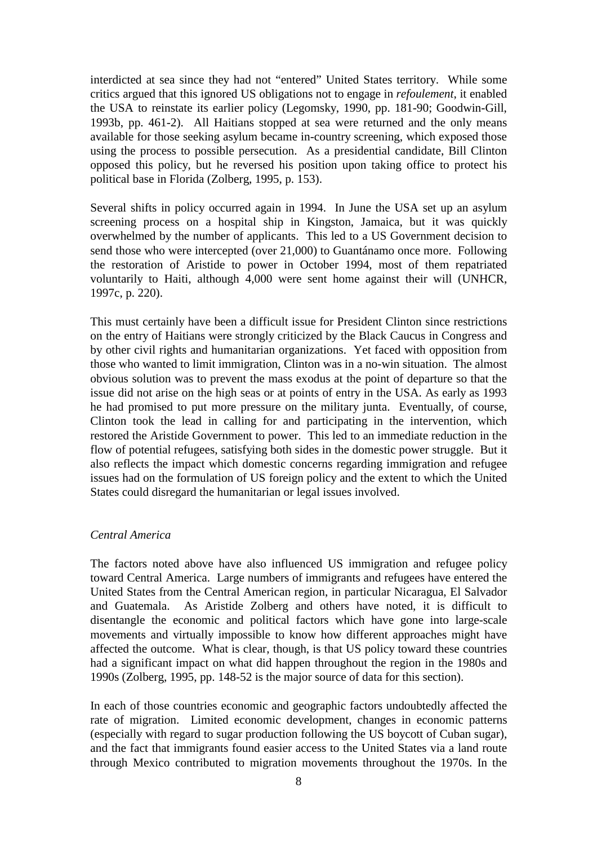interdicted at sea since they had not "entered" United States territory. While some critics argued that this ignored US obligations not to engage in *refoulement*, it enabled the USA to reinstate its earlier policy (Legomsky, 1990, pp. 181-90; Goodwin-Gill, 1993b, pp. 461-2). All Haitians stopped at sea were returned and the only means available for those seeking asylum became in-country screening, which exposed those using the process to possible persecution. As a presidential candidate, Bill Clinton opposed this policy, but he reversed his position upon taking office to protect his political base in Florida (Zolberg, 1995, p. 153).

Several shifts in policy occurred again in 1994. In June the USA set up an asylum screening process on a hospital ship in Kingston, Jamaica, but it was quickly overwhelmed by the number of applicants. This led to a US Government decision to send those who were intercepted (over 21,000) to Guantánamo once more. Following the restoration of Aristide to power in October 1994, most of them repatriated voluntarily to Haiti, although 4,000 were sent home against their will (UNHCR, 1997c, p. 220).

This must certainly have been a difficult issue for President Clinton since restrictions on the entry of Haitians were strongly criticized by the Black Caucus in Congress and by other civil rights and humanitarian organizations. Yet faced with opposition from those who wanted to limit immigration, Clinton was in a no-win situation. The almost obvious solution was to prevent the mass exodus at the point of departure so that the issue did not arise on the high seas or at points of entry in the USA. As early as 1993 he had promised to put more pressure on the military junta. Eventually, of course, Clinton took the lead in calling for and participating in the intervention, which restored the Aristide Government to power. This led to an immediate reduction in the flow of potential refugees, satisfying both sides in the domestic power struggle. But it also reflects the impact which domestic concerns regarding immigration and refugee issues had on the formulation of US foreign policy and the extent to which the United States could disregard the humanitarian or legal issues involved.

## *Central America*

The factors noted above have also influenced US immigration and refugee policy toward Central America. Large numbers of immigrants and refugees have entered the United States from the Central American region, in particular Nicaragua, El Salvador and Guatemala. As Aristide Zolberg and others have noted, it is difficult to disentangle the economic and political factors which have gone into large-scale movements and virtually impossible to know how different approaches might have affected the outcome. What is clear, though, is that US policy toward these countries had a significant impact on what did happen throughout the region in the 1980s and 1990s (Zolberg, 1995, pp. 148-52 is the major source of data for this section).

In each of those countries economic and geographic factors undoubtedly affected the rate of migration. Limited economic development, changes in economic patterns (especially with regard to sugar production following the US boycott of Cuban sugar), and the fact that immigrants found easier access to the United States via a land route through Mexico contributed to migration movements throughout the 1970s. In the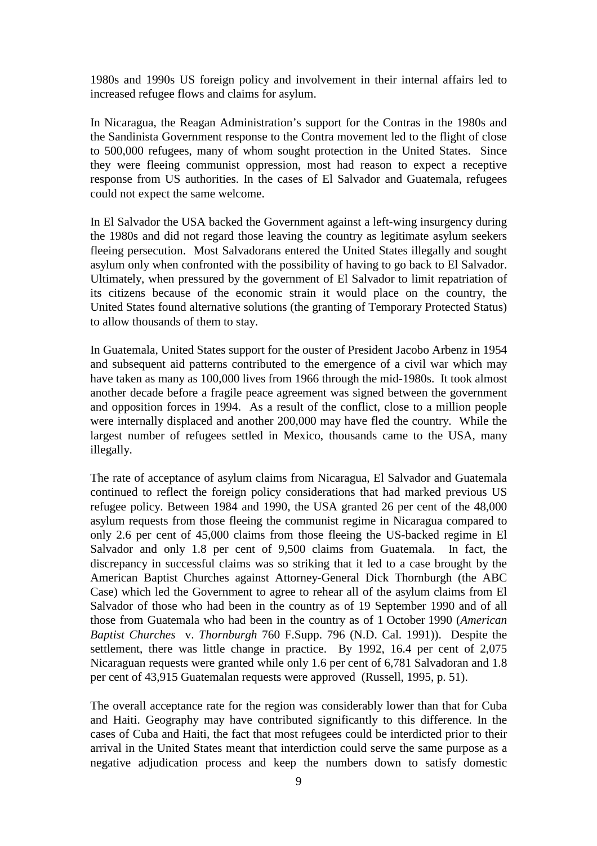1980s and 1990s US foreign policy and involvement in their internal affairs led to increased refugee flows and claims for asylum.

In Nicaragua, the Reagan Administration's support for the Contras in the 1980s and the Sandinista Government response to the Contra movement led to the flight of close to 500,000 refugees, many of whom sought protection in the United States. Since they were fleeing communist oppression, most had reason to expect a receptive response from US authorities. In the cases of El Salvador and Guatemala, refugees could not expect the same welcome.

In El Salvador the USA backed the Government against a left-wing insurgency during the 1980s and did not regard those leaving the country as legitimate asylum seekers fleeing persecution. Most Salvadorans entered the United States illegally and sought asylum only when confronted with the possibility of having to go back to El Salvador. Ultimately, when pressured by the government of El Salvador to limit repatriation of its citizens because of the economic strain it would place on the country, the United States found alternative solutions (the granting of Temporary Protected Status) to allow thousands of them to stay.

In Guatemala, United States support for the ouster of President Jacobo Arbenz in 1954 and subsequent aid patterns contributed to the emergence of a civil war which may have taken as many as 100,000 lives from 1966 through the mid-1980s. It took almost another decade before a fragile peace agreement was signed between the government and opposition forces in 1994. As a result of the conflict, close to a million people were internally displaced and another 200,000 may have fled the country. While the largest number of refugees settled in Mexico, thousands came to the USA, many illegally.

The rate of acceptance of asylum claims from Nicaragua, El Salvador and Guatemala continued to reflect the foreign policy considerations that had marked previous US refugee policy. Between 1984 and 1990, the USA granted 26 per cent of the 48,000 asylum requests from those fleeing the communist regime in Nicaragua compared to only 2.6 per cent of 45,000 claims from those fleeing the US-backed regime in El Salvador and only 1.8 per cent of 9,500 claims from Guatemala. In fact, the discrepancy in successful claims was so striking that it led to a case brought by the American Baptist Churches against Attorney-General Dick Thornburgh (the ABC Case) which led the Government to agree to rehear all of the asylum claims from El Salvador of those who had been in the country as of 19 September 1990 and of all those from Guatemala who had been in the country as of 1 October 1990 (*American Baptist Churches* v. *Thornburgh* 760 F.Supp. 796 (N.D. Cal. 1991)). Despite the settlement, there was little change in practice. By 1992, 16.4 per cent of 2,075 Nicaraguan requests were granted while only 1.6 per cent of 6,781 Salvadoran and 1.8 per cent of 43,915 Guatemalan requests were approved (Russell, 1995, p. 51).

The overall acceptance rate for the region was considerably lower than that for Cuba and Haiti. Geography may have contributed significantly to this difference. In the cases of Cuba and Haiti, the fact that most refugees could be interdicted prior to their arrival in the United States meant that interdiction could serve the same purpose as a negative adjudication process and keep the numbers down to satisfy domestic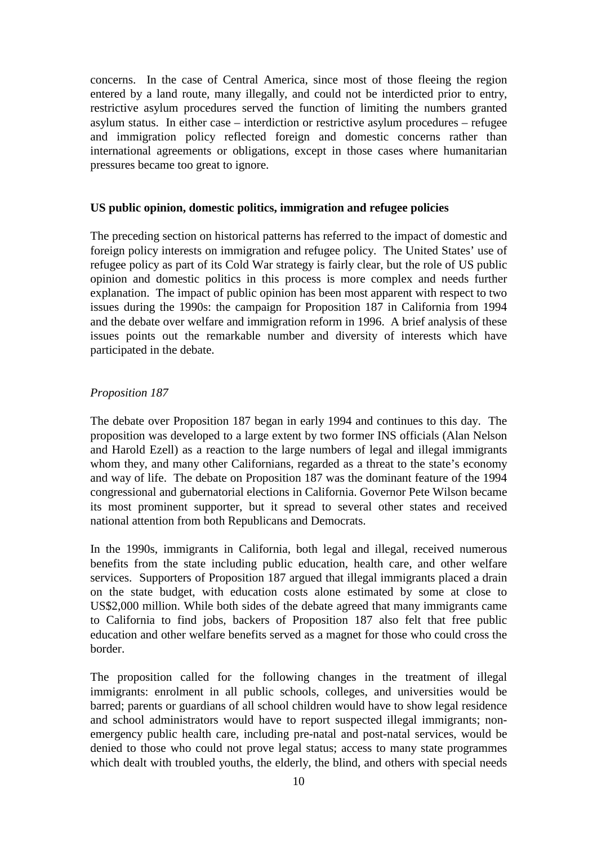concerns. In the case of Central America, since most of those fleeing the region entered by a land route, many illegally, and could not be interdicted prior to entry, restrictive asylum procedures served the function of limiting the numbers granted asylum status. In either case – interdiction or restrictive asylum procedures – refugee and immigration policy reflected foreign and domestic concerns rather than international agreements or obligations, except in those cases where humanitarian pressures became too great to ignore.

#### **US public opinion, domestic politics, immigration and refugee policies**

The preceding section on historical patterns has referred to the impact of domestic and foreign policy interests on immigration and refugee policy. The United States' use of refugee policy as part of its Cold War strategy is fairly clear, but the role of US public opinion and domestic politics in this process is more complex and needs further explanation. The impact of public opinion has been most apparent with respect to two issues during the 1990s: the campaign for Proposition 187 in California from 1994 and the debate over welfare and immigration reform in 1996. A brief analysis of these issues points out the remarkable number and diversity of interests which have participated in the debate.

#### *Proposition 187*

The debate over Proposition 187 began in early 1994 and continues to this day. The proposition was developed to a large extent by two former INS officials (Alan Nelson and Harold Ezell) as a reaction to the large numbers of legal and illegal immigrants whom they, and many other Californians, regarded as a threat to the state's economy and way of life. The debate on Proposition 187 was the dominant feature of the 1994 congressional and gubernatorial elections in California. Governor Pete Wilson became its most prominent supporter, but it spread to several other states and received national attention from both Republicans and Democrats.

In the 1990s, immigrants in California, both legal and illegal, received numerous benefits from the state including public education, health care, and other welfare services. Supporters of Proposition 187 argued that illegal immigrants placed a drain on the state budget, with education costs alone estimated by some at close to US\$2,000 million. While both sides of the debate agreed that many immigrants came to California to find jobs, backers of Proposition 187 also felt that free public education and other welfare benefits served as a magnet for those who could cross the border.

The proposition called for the following changes in the treatment of illegal immigrants: enrolment in all public schools, colleges, and universities would be barred; parents or guardians of all school children would have to show legal residence and school administrators would have to report suspected illegal immigrants; nonemergency public health care, including pre-natal and post-natal services, would be denied to those who could not prove legal status; access to many state programmes which dealt with troubled youths, the elderly, the blind, and others with special needs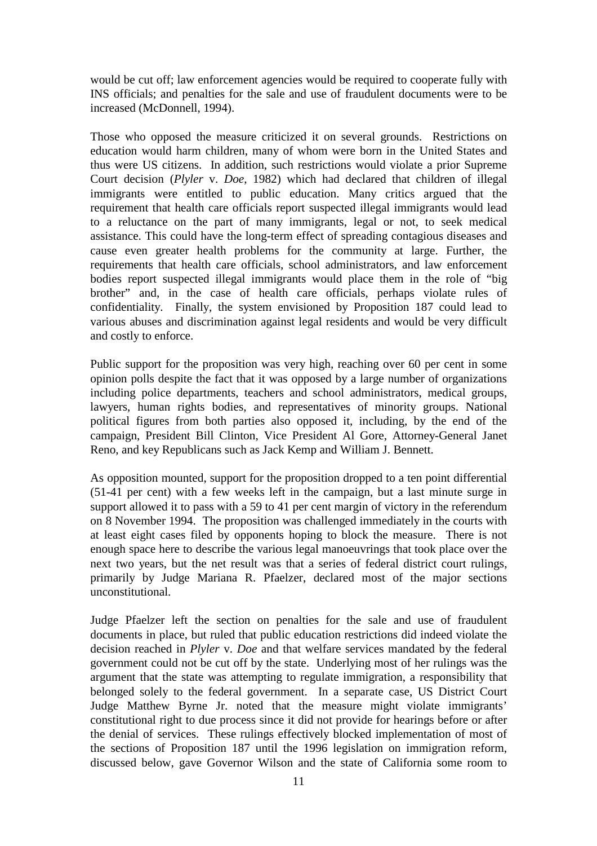would be cut off; law enforcement agencies would be required to cooperate fully with INS officials; and penalties for the sale and use of fraudulent documents were to be increased (McDonnell, 1994).

Those who opposed the measure criticized it on several grounds. Restrictions on education would harm children, many of whom were born in the United States and thus were US citizens. In addition, such restrictions would violate a prior Supreme Court decision (*Plyler* v. *Doe*, 1982) which had declared that children of illegal immigrants were entitled to public education. Many critics argued that the requirement that health care officials report suspected illegal immigrants would lead to a reluctance on the part of many immigrants, legal or not, to seek medical assistance. This could have the long-term effect of spreading contagious diseases and cause even greater health problems for the community at large. Further, the requirements that health care officials, school administrators, and law enforcement bodies report suspected illegal immigrants would place them in the role of "big brother" and, in the case of health care officials, perhaps violate rules of confidentiality. Finally, the system envisioned by Proposition 187 could lead to various abuses and discrimination against legal residents and would be very difficult and costly to enforce.

Public support for the proposition was very high, reaching over 60 per cent in some opinion polls despite the fact that it was opposed by a large number of organizations including police departments, teachers and school administrators, medical groups, lawyers, human rights bodies, and representatives of minority groups. National political figures from both parties also opposed it, including, by the end of the campaign, President Bill Clinton, Vice President Al Gore, Attorney-General Janet Reno, and key Republicans such as Jack Kemp and William J. Bennett.

As opposition mounted, support for the proposition dropped to a ten point differential (51-41 per cent) with a few weeks left in the campaign, but a last minute surge in support allowed it to pass with a 59 to 41 per cent margin of victory in the referendum on 8 November 1994. The proposition was challenged immediately in the courts with at least eight cases filed by opponents hoping to block the measure. There is not enough space here to describe the various legal manoeuvrings that took place over the next two years, but the net result was that a series of federal district court rulings, primarily by Judge Mariana R. Pfaelzer, declared most of the major sections unconstitutional.

Judge Pfaelzer left the section on penalties for the sale and use of fraudulent documents in place, but ruled that public education restrictions did indeed violate the decision reached in *Plyler* v. *Doe* and that welfare services mandated by the federal government could not be cut off by the state. Underlying most of her rulings was the argument that the state was attempting to regulate immigration, a responsibility that belonged solely to the federal government. In a separate case, US District Court Judge Matthew Byrne Jr. noted that the measure might violate immigrants' constitutional right to due process since it did not provide for hearings before or after the denial of services. These rulings effectively blocked implementation of most of the sections of Proposition 187 until the 1996 legislation on immigration reform, discussed below, gave Governor Wilson and the state of California some room to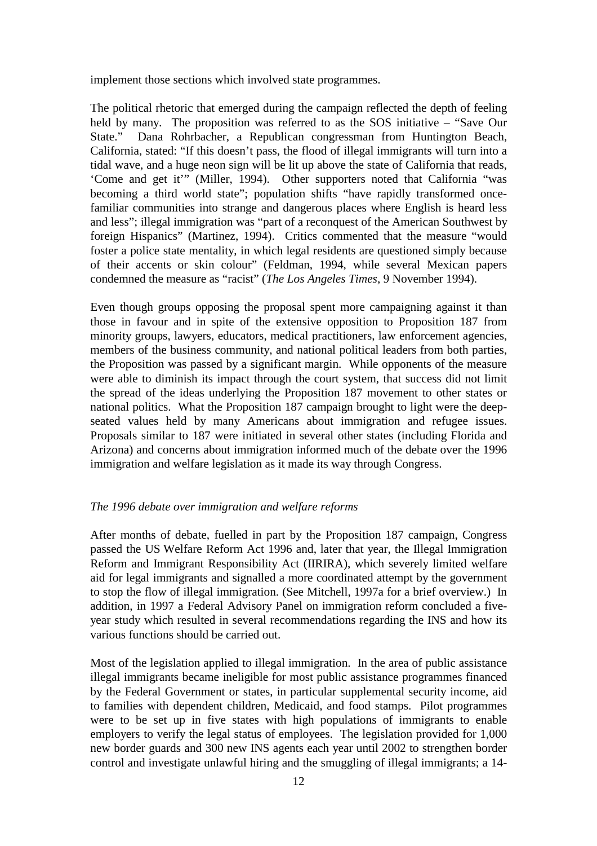implement those sections which involved state programmes.

The political rhetoric that emerged during the campaign reflected the depth of feeling held by many. The proposition was referred to as the SOS initiative – "Save Our State." Dana Rohrbacher, a Republican congressman from Huntington Beach, California, stated: "If this doesn't pass, the flood of illegal immigrants will turn into a tidal wave, and a huge neon sign will be lit up above the state of California that reads, 'Come and get it'" (Miller, 1994). Other supporters noted that California "was becoming a third world state"; population shifts "have rapidly transformed oncefamiliar communities into strange and dangerous places where English is heard less and less"; illegal immigration was "part of a reconquest of the American Southwest by foreign Hispanics" (Martinez, 1994). Critics commented that the measure "would foster a police state mentality, in which legal residents are questioned simply because of their accents or skin colour" (Feldman, 1994, while several Mexican papers condemned the measure as "racist" (*The Los Angeles Times*, 9 November 1994).

Even though groups opposing the proposal spent more campaigning against it than those in favour and in spite of the extensive opposition to Proposition 187 from minority groups, lawyers, educators, medical practitioners, law enforcement agencies, members of the business community, and national political leaders from both parties, the Proposition was passed by a significant margin. While opponents of the measure were able to diminish its impact through the court system, that success did not limit the spread of the ideas underlying the Proposition 187 movement to other states or national politics. What the Proposition 187 campaign brought to light were the deepseated values held by many Americans about immigration and refugee issues. Proposals similar to 187 were initiated in several other states (including Florida and Arizona) and concerns about immigration informed much of the debate over the 1996 immigration and welfare legislation as it made its way through Congress.

#### *The 1996 debate over immigration and welfare reforms*

After months of debate, fuelled in part by the Proposition 187 campaign, Congress passed the US Welfare Reform Act 1996 and, later that year, the Illegal Immigration Reform and Immigrant Responsibility Act (IIRIRA), which severely limited welfare aid for legal immigrants and signalled a more coordinated attempt by the government to stop the flow of illegal immigration. (See Mitchell, 1997a for a brief overview.) In addition, in 1997 a Federal Advisory Panel on immigration reform concluded a fiveyear study which resulted in several recommendations regarding the INS and how its various functions should be carried out.

Most of the legislation applied to illegal immigration. In the area of public assistance illegal immigrants became ineligible for most public assistance programmes financed by the Federal Government or states, in particular supplemental security income, aid to families with dependent children, Medicaid, and food stamps. Pilot programmes were to be set up in five states with high populations of immigrants to enable employers to verify the legal status of employees. The legislation provided for 1,000 new border guards and 300 new INS agents each year until 2002 to strengthen border control and investigate unlawful hiring and the smuggling of illegal immigrants; a 14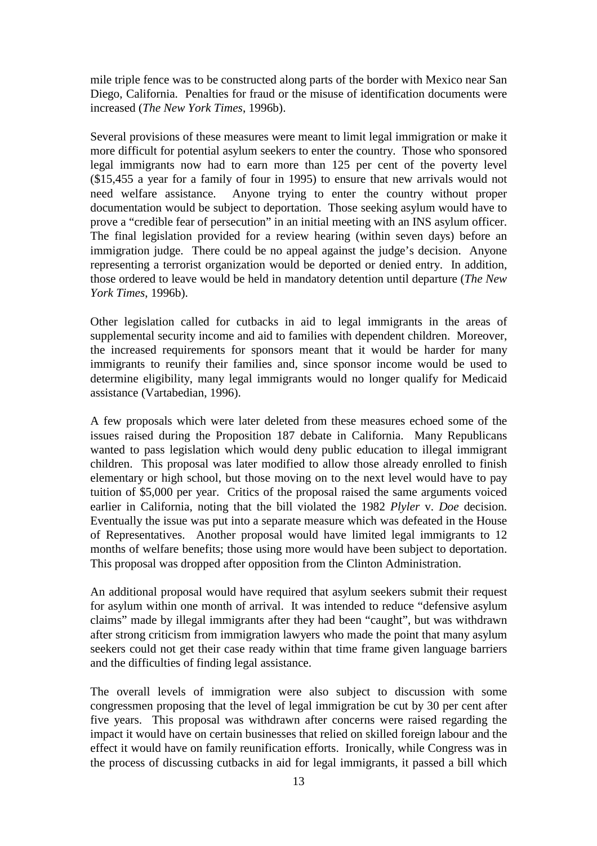mile triple fence was to be constructed along parts of the border with Mexico near San Diego, California. Penalties for fraud or the misuse of identification documents were increased (*The New York Times*, 1996b).

Several provisions of these measures were meant to limit legal immigration or make it more difficult for potential asylum seekers to enter the country. Those who sponsored legal immigrants now had to earn more than 125 per cent of the poverty level (\$15,455 a year for a family of four in 1995) to ensure that new arrivals would not need welfare assistance. Anyone trying to enter the country without proper documentation would be subject to deportation. Those seeking asylum would have to prove a "credible fear of persecution" in an initial meeting with an INS asylum officer. The final legislation provided for a review hearing (within seven days) before an immigration judge. There could be no appeal against the judge's decision. Anyone representing a terrorist organization would be deported or denied entry. In addition, those ordered to leave would be held in mandatory detention until departure (*The New York Times*, 1996b).

Other legislation called for cutbacks in aid to legal immigrants in the areas of supplemental security income and aid to families with dependent children. Moreover, the increased requirements for sponsors meant that it would be harder for many immigrants to reunify their families and, since sponsor income would be used to determine eligibility, many legal immigrants would no longer qualify for Medicaid assistance (Vartabedian, 1996).

A few proposals which were later deleted from these measures echoed some of the issues raised during the Proposition 187 debate in California. Many Republicans wanted to pass legislation which would deny public education to illegal immigrant children. This proposal was later modified to allow those already enrolled to finish elementary or high school, but those moving on to the next level would have to pay tuition of \$5,000 per year. Critics of the proposal raised the same arguments voiced earlier in California, noting that the bill violated the 1982 *Plyler* v. *Doe* decision. Eventually the issue was put into a separate measure which was defeated in the House of Representatives. Another proposal would have limited legal immigrants to 12 months of welfare benefits; those using more would have been subject to deportation. This proposal was dropped after opposition from the Clinton Administration.

An additional proposal would have required that asylum seekers submit their request for asylum within one month of arrival. It was intended to reduce "defensive asylum claims" made by illegal immigrants after they had been "caught", but was withdrawn after strong criticism from immigration lawyers who made the point that many asylum seekers could not get their case ready within that time frame given language barriers and the difficulties of finding legal assistance.

The overall levels of immigration were also subject to discussion with some congressmen proposing that the level of legal immigration be cut by 30 per cent after five years. This proposal was withdrawn after concerns were raised regarding the impact it would have on certain businesses that relied on skilled foreign labour and the effect it would have on family reunification efforts. Ironically, while Congress was in the process of discussing cutbacks in aid for legal immigrants, it passed a bill which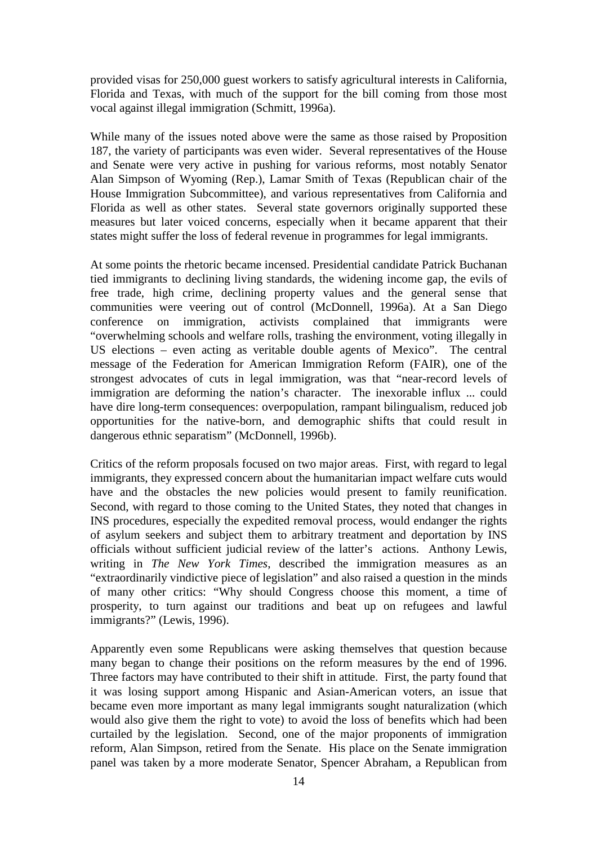provided visas for 250,000 guest workers to satisfy agricultural interests in California, Florida and Texas, with much of the support for the bill coming from those most vocal against illegal immigration (Schmitt, 1996a).

While many of the issues noted above were the same as those raised by Proposition 187, the variety of participants was even wider. Several representatives of the House and Senate were very active in pushing for various reforms, most notably Senator Alan Simpson of Wyoming (Rep.), Lamar Smith of Texas (Republican chair of the House Immigration Subcommittee), and various representatives from California and Florida as well as other states. Several state governors originally supported these measures but later voiced concerns, especially when it became apparent that their states might suffer the loss of federal revenue in programmes for legal immigrants.

At some points the rhetoric became incensed. Presidential candidate Patrick Buchanan tied immigrants to declining living standards, the widening income gap, the evils of free trade, high crime, declining property values and the general sense that communities were veering out of control (McDonnell, 1996a). At a San Diego conference on immigration, activists complained that immigrants were "overwhelming schools and welfare rolls, trashing the environment, voting illegally in US elections – even acting as veritable double agents of Mexico". The central message of the Federation for American Immigration Reform (FAIR), one of the strongest advocates of cuts in legal immigration, was that "near-record levels of immigration are deforming the nation's character. The inexorable influx ... could have dire long-term consequences: overpopulation, rampant bilingualism, reduced job opportunities for the native-born, and demographic shifts that could result in dangerous ethnic separatism" (McDonnell, 1996b).

Critics of the reform proposals focused on two major areas. First, with regard to legal immigrants, they expressed concern about the humanitarian impact welfare cuts would have and the obstacles the new policies would present to family reunification. Second, with regard to those coming to the United States, they noted that changes in INS procedures, especially the expedited removal process, would endanger the rights of asylum seekers and subject them to arbitrary treatment and deportation by INS officials without sufficient judicial review of the latter's actions. Anthony Lewis, writing in *The New York Times*, described the immigration measures as an "extraordinarily vindictive piece of legislation" and also raised a question in the minds of many other critics: "Why should Congress choose this moment, a time of prosperity, to turn against our traditions and beat up on refugees and lawful immigrants?" (Lewis, 1996).

Apparently even some Republicans were asking themselves that question because many began to change their positions on the reform measures by the end of 1996. Three factors may have contributed to their shift in attitude. First, the party found that it was losing support among Hispanic and Asian-American voters, an issue that became even more important as many legal immigrants sought naturalization (which would also give them the right to vote) to avoid the loss of benefits which had been curtailed by the legislation. Second, one of the major proponents of immigration reform, Alan Simpson, retired from the Senate. His place on the Senate immigration panel was taken by a more moderate Senator, Spencer Abraham, a Republican from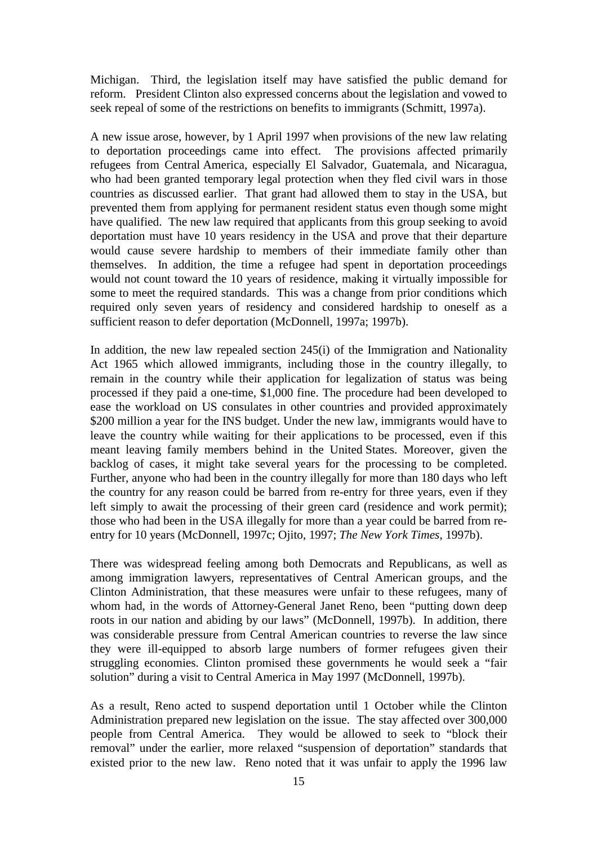Michigan. Third, the legislation itself may have satisfied the public demand for reform. President Clinton also expressed concerns about the legislation and vowed to seek repeal of some of the restrictions on benefits to immigrants (Schmitt, 1997a).

A new issue arose, however, by 1 April 1997 when provisions of the new law relating to deportation proceedings came into effect. The provisions affected primarily refugees from Central America, especially El Salvador, Guatemala, and Nicaragua, who had been granted temporary legal protection when they fled civil wars in those countries as discussed earlier. That grant had allowed them to stay in the USA, but prevented them from applying for permanent resident status even though some might have qualified. The new law required that applicants from this group seeking to avoid deportation must have 10 years residency in the USA and prove that their departure would cause severe hardship to members of their immediate family other than themselves. In addition, the time a refugee had spent in deportation proceedings would not count toward the 10 years of residence, making it virtually impossible for some to meet the required standards. This was a change from prior conditions which required only seven years of residency and considered hardship to oneself as a sufficient reason to defer deportation (McDonnell, 1997a; 1997b).

In addition, the new law repealed section  $245(i)$  of the Immigration and Nationality Act 1965 which allowed immigrants, including those in the country illegally, to remain in the country while their application for legalization of status was being processed if they paid a one-time, \$1,000 fine. The procedure had been developed to ease the workload on US consulates in other countries and provided approximately \$200 million a year for the INS budget. Under the new law, immigrants would have to leave the country while waiting for their applications to be processed, even if this meant leaving family members behind in the United States. Moreover, given the backlog of cases, it might take several years for the processing to be completed. Further, anyone who had been in the country illegally for more than 180 days who left the country for any reason could be barred from re-entry for three years, even if they left simply to await the processing of their green card (residence and work permit); those who had been in the USA illegally for more than a year could be barred from reentry for 10 years (McDonnell, 1997c; Ojito, 1997; *The New York Times*, 1997b).

There was widespread feeling among both Democrats and Republicans, as well as among immigration lawyers, representatives of Central American groups, and the Clinton Administration, that these measures were unfair to these refugees, many of whom had, in the words of Attorney-General Janet Reno, been "putting down deep roots in our nation and abiding by our laws" (McDonnell, 1997b). In addition, there was considerable pressure from Central American countries to reverse the law since they were ill-equipped to absorb large numbers of former refugees given their struggling economies. Clinton promised these governments he would seek a "fair solution" during a visit to Central America in May 1997 (McDonnell, 1997b).

As a result, Reno acted to suspend deportation until 1 October while the Clinton Administration prepared new legislation on the issue. The stay affected over 300,000 people from Central America. They would be allowed to seek to "block their removal" under the earlier, more relaxed "suspension of deportation" standards that existed prior to the new law. Reno noted that it was unfair to apply the 1996 law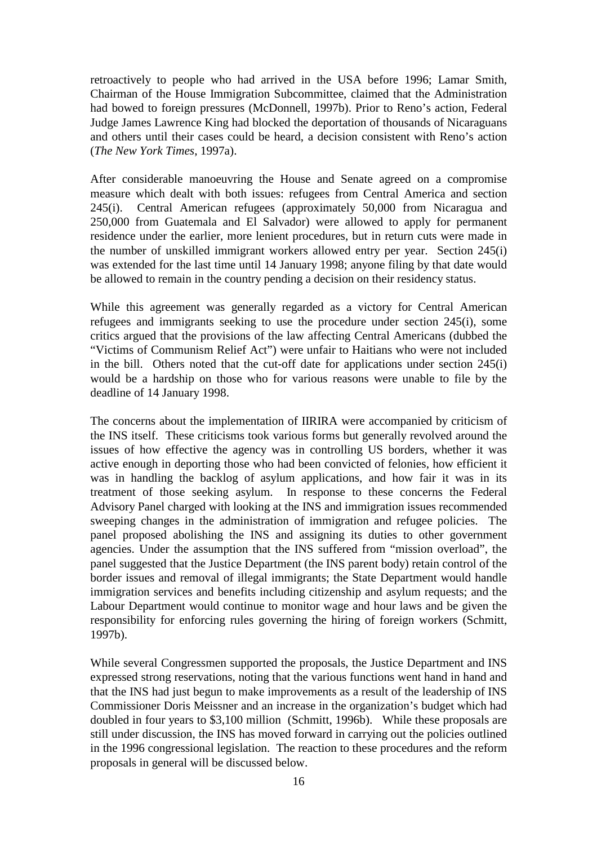retroactively to people who had arrived in the USA before 1996; Lamar Smith, Chairman of the House Immigration Subcommittee, claimed that the Administration had bowed to foreign pressures (McDonnell, 1997b). Prior to Reno's action, Federal Judge James Lawrence King had blocked the deportation of thousands of Nicaraguans and others until their cases could be heard, a decision consistent with Reno's action (*The New York Times*, 1997a).

After considerable manoeuvring the House and Senate agreed on a compromise measure which dealt with both issues: refugees from Central America and section 245(i). Central American refugees (approximately 50,000 from Nicaragua and 250,000 from Guatemala and El Salvador) were allowed to apply for permanent residence under the earlier, more lenient procedures, but in return cuts were made in the number of unskilled immigrant workers allowed entry per year. Section 245(i) was extended for the last time until 14 January 1998; anyone filing by that date would be allowed to remain in the country pending a decision on their residency status.

While this agreement was generally regarded as a victory for Central American refugees and immigrants seeking to use the procedure under section 245(i), some critics argued that the provisions of the law affecting Central Americans (dubbed the "Victims of Communism Relief Act") were unfair to Haitians who were not included in the bill. Others noted that the cut-off date for applications under section 245(i) would be a hardship on those who for various reasons were unable to file by the deadline of 14 January 1998.

The concerns about the implementation of IIRIRA were accompanied by criticism of the INS itself. These criticisms took various forms but generally revolved around the issues of how effective the agency was in controlling US borders, whether it was active enough in deporting those who had been convicted of felonies, how efficient it was in handling the backlog of asylum applications, and how fair it was in its treatment of those seeking asylum. In response to these concerns the Federal Advisory Panel charged with looking at the INS and immigration issues recommended sweeping changes in the administration of immigration and refugee policies. The panel proposed abolishing the INS and assigning its duties to other government agencies. Under the assumption that the INS suffered from "mission overload", the panel suggested that the Justice Department (the INS parent body) retain control of the border issues and removal of illegal immigrants; the State Department would handle immigration services and benefits including citizenship and asylum requests; and the Labour Department would continue to monitor wage and hour laws and be given the responsibility for enforcing rules governing the hiring of foreign workers (Schmitt, 1997b).

While several Congressmen supported the proposals, the Justice Department and INS expressed strong reservations, noting that the various functions went hand in hand and that the INS had just begun to make improvements as a result of the leadership of INS Commissioner Doris Meissner and an increase in the organization's budget which had doubled in four years to \$3,100 million (Schmitt, 1996b). While these proposals are still under discussion, the INS has moved forward in carrying out the policies outlined in the 1996 congressional legislation. The reaction to these procedures and the reform proposals in general will be discussed below.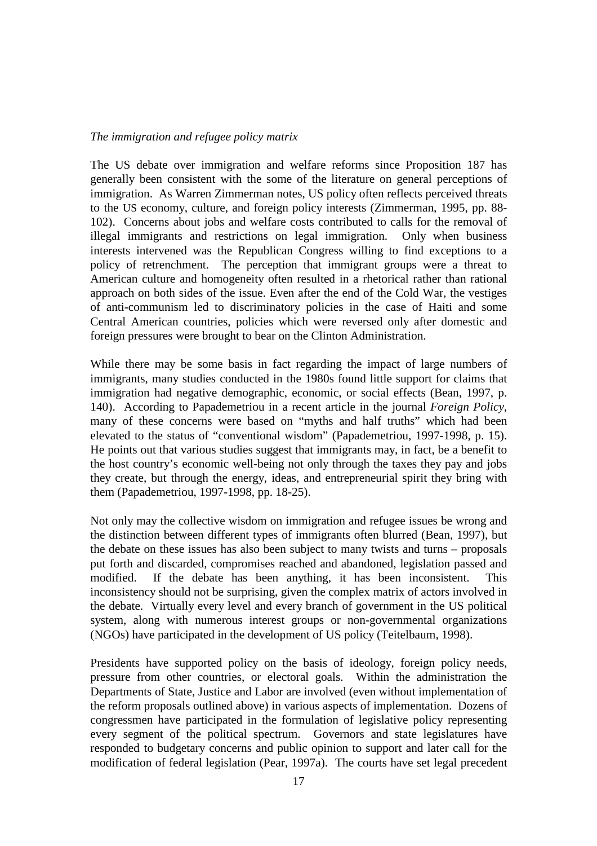## *The immigration and refugee policy matrix*

The US debate over immigration and welfare reforms since Proposition 187 has generally been consistent with the some of the literature on general perceptions of immigration. As Warren Zimmerman notes, US policy often reflects perceived threats to the US economy, culture, and foreign policy interests (Zimmerman, 1995, pp. 88- 102). Concerns about jobs and welfare costs contributed to calls for the removal of illegal immigrants and restrictions on legal immigration. Only when business interests intervened was the Republican Congress willing to find exceptions to a policy of retrenchment. The perception that immigrant groups were a threat to American culture and homogeneity often resulted in a rhetorical rather than rational approach on both sides of the issue. Even after the end of the Cold War, the vestiges of anti-communism led to discriminatory policies in the case of Haiti and some Central American countries, policies which were reversed only after domestic and foreign pressures were brought to bear on the Clinton Administration.

While there may be some basis in fact regarding the impact of large numbers of immigrants, many studies conducted in the 1980s found little support for claims that immigration had negative demographic, economic, or social effects (Bean, 1997, p. 140). According to Papademetriou in a recent article in the journal *Foreign Policy*, many of these concerns were based on "myths and half truths" which had been elevated to the status of "conventional wisdom" (Papademetriou, 1997-1998, p. 15). He points out that various studies suggest that immigrants may, in fact, be a benefit to the host country's economic well-being not only through the taxes they pay and jobs they create, but through the energy, ideas, and entrepreneurial spirit they bring with them (Papademetriou, 1997-1998, pp. 18-25).

Not only may the collective wisdom on immigration and refugee issues be wrong and the distinction between different types of immigrants often blurred (Bean, 1997), but the debate on these issues has also been subject to many twists and turns – proposals put forth and discarded, compromises reached and abandoned, legislation passed and modified. If the debate has been anything, it has been inconsistent. This inconsistency should not be surprising, given the complex matrix of actors involved in the debate. Virtually every level and every branch of government in the US political system, along with numerous interest groups or non-governmental organizations (NGOs) have participated in the development of US policy (Teitelbaum, 1998).

Presidents have supported policy on the basis of ideology, foreign policy needs, pressure from other countries, or electoral goals. Within the administration the Departments of State, Justice and Labor are involved (even without implementation of the reform proposals outlined above) in various aspects of implementation. Dozens of congressmen have participated in the formulation of legislative policy representing every segment of the political spectrum. Governors and state legislatures have responded to budgetary concerns and public opinion to support and later call for the modification of federal legislation (Pear, 1997a). The courts have set legal precedent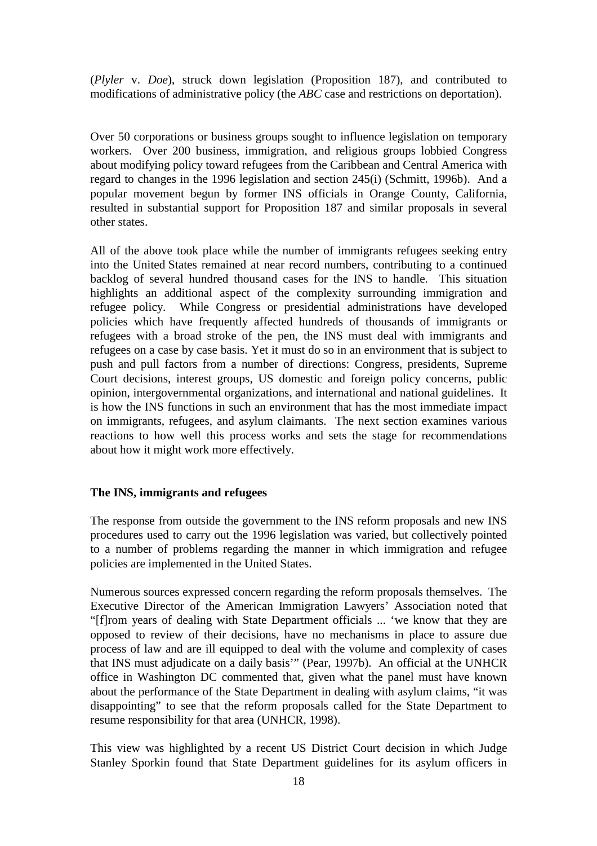(*Plyler* v. *Doe*), struck down legislation (Proposition 187), and contributed to modifications of administrative policy (the *ABC* case and restrictions on deportation).

Over 50 corporations or business groups sought to influence legislation on temporary workers. Over 200 business, immigration, and religious groups lobbied Congress about modifying policy toward refugees from the Caribbean and Central America with regard to changes in the 1996 legislation and section 245(i) (Schmitt, 1996b). And a popular movement begun by former INS officials in Orange County, California, resulted in substantial support for Proposition 187 and similar proposals in several other states.

All of the above took place while the number of immigrants refugees seeking entry into the United States remained at near record numbers, contributing to a continued backlog of several hundred thousand cases for the INS to handle. This situation highlights an additional aspect of the complexity surrounding immigration and refugee policy. While Congress or presidential administrations have developed policies which have frequently affected hundreds of thousands of immigrants or refugees with a broad stroke of the pen, the INS must deal with immigrants and refugees on a case by case basis. Yet it must do so in an environment that is subject to push and pull factors from a number of directions: Congress, presidents, Supreme Court decisions, interest groups, US domestic and foreign policy concerns, public opinion, intergovernmental organizations, and international and national guidelines. It is how the INS functions in such an environment that has the most immediate impact on immigrants, refugees, and asylum claimants. The next section examines various reactions to how well this process works and sets the stage for recommendations about how it might work more effectively.

## **The INS, immigrants and refugees**

The response from outside the government to the INS reform proposals and new INS procedures used to carry out the 1996 legislation was varied, but collectively pointed to a number of problems regarding the manner in which immigration and refugee policies are implemented in the United States.

Numerous sources expressed concern regarding the reform proposals themselves. The Executive Director of the American Immigration Lawyers' Association noted that "[f]rom years of dealing with State Department officials ... 'we know that they are opposed to review of their decisions, have no mechanisms in place to assure due process of law and are ill equipped to deal with the volume and complexity of cases that INS must adjudicate on a daily basis'" (Pear, 1997b). An official at the UNHCR office in Washington DC commented that, given what the panel must have known about the performance of the State Department in dealing with asylum claims, "it was disappointing" to see that the reform proposals called for the State Department to resume responsibility for that area (UNHCR, 1998).

This view was highlighted by a recent US District Court decision in which Judge Stanley Sporkin found that State Department guidelines for its asylum officers in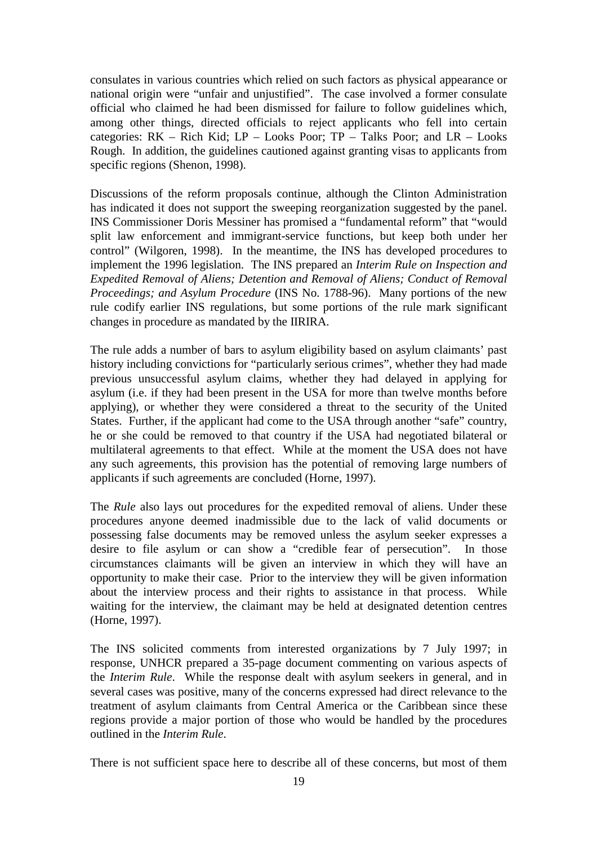consulates in various countries which relied on such factors as physical appearance or national origin were "unfair and unjustified". The case involved a former consulate official who claimed he had been dismissed for failure to follow guidelines which, among other things, directed officials to reject applicants who fell into certain categories: RK – Rich Kid; LP – Looks Poor; TP – Talks Poor; and LR – Looks Rough. In addition, the guidelines cautioned against granting visas to applicants from specific regions (Shenon, 1998).

Discussions of the reform proposals continue, although the Clinton Administration has indicated it does not support the sweeping reorganization suggested by the panel. INS Commissioner Doris Messiner has promised a "fundamental reform" that "would split law enforcement and immigrant-service functions, but keep both under her control" (Wilgoren, 1998). In the meantime, the INS has developed procedures to implement the 1996 legislation. The INS prepared an *Interim Rule on Inspection and Expedited Removal of Aliens; Detention and Removal of Aliens; Conduct of Removal Proceedings; and Asylum Procedure* (INS No. 1788-96). Many portions of the new rule codify earlier INS regulations, but some portions of the rule mark significant changes in procedure as mandated by the IIRIRA.

The rule adds a number of bars to asylum eligibility based on asylum claimants' past history including convictions for "particularly serious crimes", whether they had made previous unsuccessful asylum claims, whether they had delayed in applying for asylum (i.e. if they had been present in the USA for more than twelve months before applying), or whether they were considered a threat to the security of the United States. Further, if the applicant had come to the USA through another "safe" country, he or she could be removed to that country if the USA had negotiated bilateral or multilateral agreements to that effect. While at the moment the USA does not have any such agreements, this provision has the potential of removing large numbers of applicants if such agreements are concluded (Horne, 1997).

The *Rule* also lays out procedures for the expedited removal of aliens. Under these procedures anyone deemed inadmissible due to the lack of valid documents or possessing false documents may be removed unless the asylum seeker expresses a desire to file asylum or can show a "credible fear of persecution". In those circumstances claimants will be given an interview in which they will have an opportunity to make their case. Prior to the interview they will be given information about the interview process and their rights to assistance in that process. While waiting for the interview, the claimant may be held at designated detention centres (Horne, 1997).

The INS solicited comments from interested organizations by 7 July 1997; in response, UNHCR prepared a 35-page document commenting on various aspects of the *Interim Rule*. While the response dealt with asylum seekers in general, and in several cases was positive, many of the concerns expressed had direct relevance to the treatment of asylum claimants from Central America or the Caribbean since these regions provide a major portion of those who would be handled by the procedures outlined in the *Interim Rule*.

There is not sufficient space here to describe all of these concerns, but most of them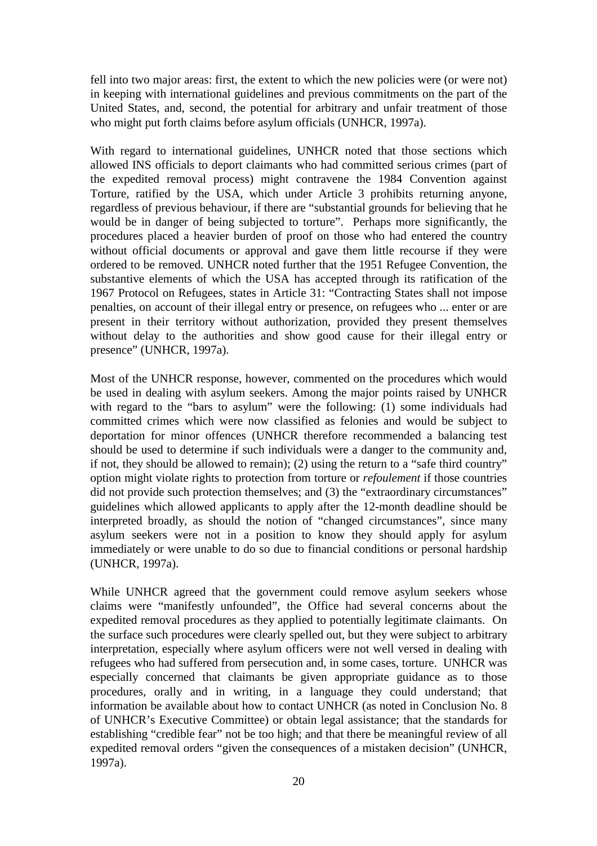fell into two major areas: first, the extent to which the new policies were (or were not) in keeping with international guidelines and previous commitments on the part of the United States, and, second, the potential for arbitrary and unfair treatment of those who might put forth claims before asylum officials (UNHCR, 1997a).

With regard to international guidelines, UNHCR noted that those sections which allowed INS officials to deport claimants who had committed serious crimes (part of the expedited removal process) might contravene the 1984 Convention against Torture, ratified by the USA, which under Article 3 prohibits returning anyone, regardless of previous behaviour, if there are "substantial grounds for believing that he would be in danger of being subjected to torture". Perhaps more significantly, the procedures placed a heavier burden of proof on those who had entered the country without official documents or approval and gave them little recourse if they were ordered to be removed. UNHCR noted further that the 1951 Refugee Convention, the substantive elements of which the USA has accepted through its ratification of the 1967 Protocol on Refugees, states in Article 31: "Contracting States shall not impose penalties, on account of their illegal entry or presence, on refugees who ... enter or are present in their territory without authorization, provided they present themselves without delay to the authorities and show good cause for their illegal entry or presence" (UNHCR, 1997a).

Most of the UNHCR response, however, commented on the procedures which would be used in dealing with asylum seekers. Among the major points raised by UNHCR with regard to the "bars to asylum" were the following: (1) some individuals had committed crimes which were now classified as felonies and would be subject to deportation for minor offences (UNHCR therefore recommended a balancing test should be used to determine if such individuals were a danger to the community and, if not, they should be allowed to remain); (2) using the return to a "safe third country" option might violate rights to protection from torture or *refoulement* if those countries did not provide such protection themselves; and (3) the "extraordinary circumstances" guidelines which allowed applicants to apply after the 12-month deadline should be interpreted broadly, as should the notion of "changed circumstances", since many asylum seekers were not in a position to know they should apply for asylum immediately or were unable to do so due to financial conditions or personal hardship (UNHCR, 1997a).

While UNHCR agreed that the government could remove asylum seekers whose claims were "manifestly unfounded", the Office had several concerns about the expedited removal procedures as they applied to potentially legitimate claimants. On the surface such procedures were clearly spelled out, but they were subject to arbitrary interpretation, especially where asylum officers were not well versed in dealing with refugees who had suffered from persecution and, in some cases, torture. UNHCR was especially concerned that claimants be given appropriate guidance as to those procedures, orally and in writing, in a language they could understand; that information be available about how to contact UNHCR (as noted in Conclusion No. 8 of UNHCR's Executive Committee) or obtain legal assistance; that the standards for establishing "credible fear" not be too high; and that there be meaningful review of all expedited removal orders "given the consequences of a mistaken decision" (UNHCR, 1997a).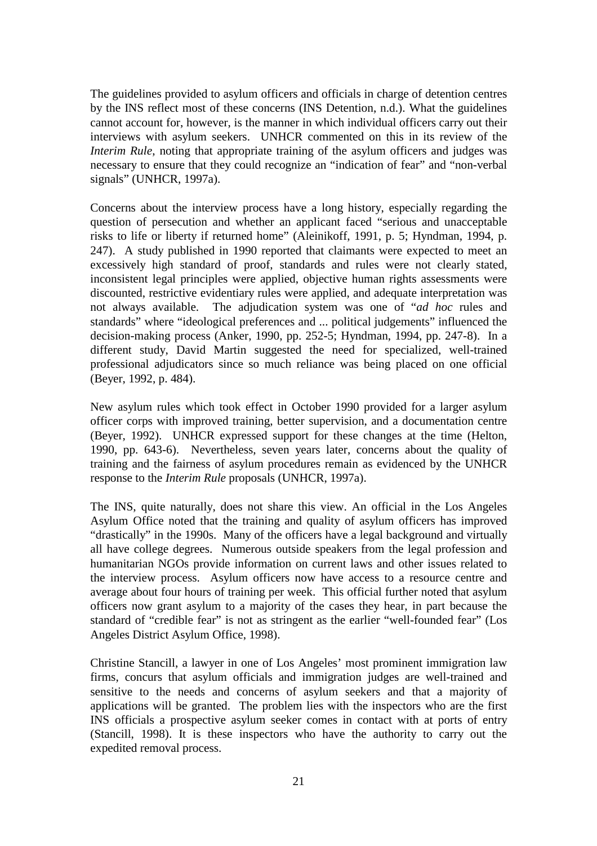The guidelines provided to asylum officers and officials in charge of detention centres by the INS reflect most of these concerns (INS Detention, n.d.). What the guidelines cannot account for, however, is the manner in which individual officers carry out their interviews with asylum seekers. UNHCR commented on this in its review of the *Interim Rule*, noting that appropriate training of the asylum officers and judges was necessary to ensure that they could recognize an "indication of fear" and "non-verbal signals" (UNHCR, 1997a).

Concerns about the interview process have a long history, especially regarding the question of persecution and whether an applicant faced "serious and unacceptable risks to life or liberty if returned home" (Aleinikoff, 1991, p. 5; Hyndman, 1994, p. 247). A study published in 1990 reported that claimants were expected to meet an excessively high standard of proof, standards and rules were not clearly stated, inconsistent legal principles were applied, objective human rights assessments were discounted, restrictive evidentiary rules were applied, and adequate interpretation was not always available. The adjudication system was one of "*ad hoc* rules and standards" where "ideological preferences and ... political judgements" influenced the decision-making process (Anker, 1990, pp. 252-5; Hyndman, 1994, pp. 247-8). In a different study, David Martin suggested the need for specialized, well-trained professional adjudicators since so much reliance was being placed on one official (Beyer, 1992, p. 484).

New asylum rules which took effect in October 1990 provided for a larger asylum officer corps with improved training, better supervision, and a documentation centre (Beyer, 1992). UNHCR expressed support for these changes at the time (Helton, 1990, pp. 643-6). Nevertheless, seven years later, concerns about the quality of training and the fairness of asylum procedures remain as evidenced by the UNHCR response to the *Interim Rule* proposals (UNHCR, 1997a).

The INS, quite naturally, does not share this view. An official in the Los Angeles Asylum Office noted that the training and quality of asylum officers has improved "drastically" in the 1990s. Many of the officers have a legal background and virtually all have college degrees. Numerous outside speakers from the legal profession and humanitarian NGOs provide information on current laws and other issues related to the interview process. Asylum officers now have access to a resource centre and average about four hours of training per week. This official further noted that asylum officers now grant asylum to a majority of the cases they hear, in part because the standard of "credible fear" is not as stringent as the earlier "well-founded fear" (Los Angeles District Asylum Office, 1998).

Christine Stancill, a lawyer in one of Los Angeles' most prominent immigration law firms, concurs that asylum officials and immigration judges are well-trained and sensitive to the needs and concerns of asylum seekers and that a majority of applications will be granted. The problem lies with the inspectors who are the first INS officials a prospective asylum seeker comes in contact with at ports of entry (Stancill, 1998). It is these inspectors who have the authority to carry out the expedited removal process.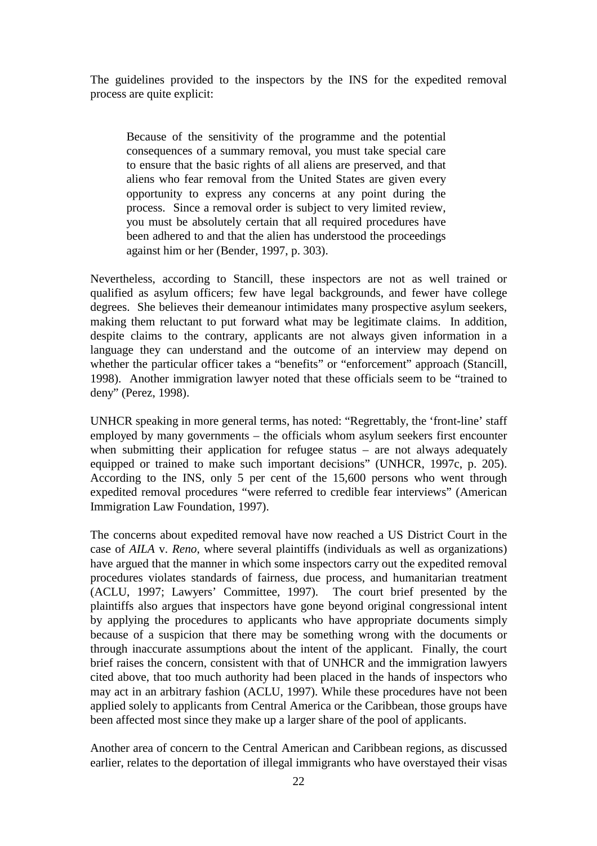The guidelines provided to the inspectors by the INS for the expedited removal process are quite explicit:

Because of the sensitivity of the programme and the potential consequences of a summary removal, you must take special care to ensure that the basic rights of all aliens are preserved, and that aliens who fear removal from the United States are given every opportunity to express any concerns at any point during the process. Since a removal order is subject to very limited review, you must be absolutely certain that all required procedures have been adhered to and that the alien has understood the proceedings against him or her (Bender, 1997, p. 303).

Nevertheless, according to Stancill, these inspectors are not as well trained or qualified as asylum officers; few have legal backgrounds, and fewer have college degrees. She believes their demeanour intimidates many prospective asylum seekers, making them reluctant to put forward what may be legitimate claims. In addition, despite claims to the contrary, applicants are not always given information in a language they can understand and the outcome of an interview may depend on whether the particular officer takes a "benefits" or "enforcement" approach (Stancill, 1998). Another immigration lawyer noted that these officials seem to be "trained to deny" (Perez, 1998).

UNHCR speaking in more general terms, has noted: "Regrettably, the 'front-line' staff employed by many governments – the officials whom asylum seekers first encounter when submitting their application for refugee status – are not always adequately equipped or trained to make such important decisions" (UNHCR, 1997c, p. 205). According to the INS, only 5 per cent of the 15,600 persons who went through expedited removal procedures "were referred to credible fear interviews" (American Immigration Law Foundation, 1997).

The concerns about expedited removal have now reached a US District Court in the case of *AILA* v. *Reno*, where several plaintiffs (individuals as well as organizations) have argued that the manner in which some inspectors carry out the expedited removal procedures violates standards of fairness, due process, and humanitarian treatment (ACLU, 1997; Lawyers' Committee, 1997). The court brief presented by the plaintiffs also argues that inspectors have gone beyond original congressional intent by applying the procedures to applicants who have appropriate documents simply because of a suspicion that there may be something wrong with the documents or through inaccurate assumptions about the intent of the applicant. Finally, the court brief raises the concern, consistent with that of UNHCR and the immigration lawyers cited above, that too much authority had been placed in the hands of inspectors who may act in an arbitrary fashion (ACLU, 1997). While these procedures have not been applied solely to applicants from Central America or the Caribbean, those groups have been affected most since they make up a larger share of the pool of applicants.

Another area of concern to the Central American and Caribbean regions, as discussed earlier, relates to the deportation of illegal immigrants who have overstayed their visas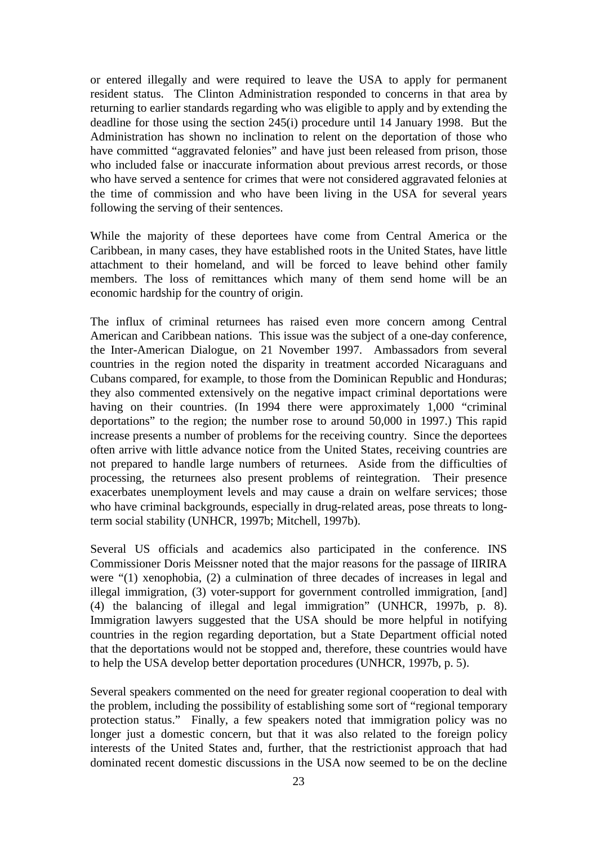or entered illegally and were required to leave the USA to apply for permanent resident status. The Clinton Administration responded to concerns in that area by returning to earlier standards regarding who was eligible to apply and by extending the deadline for those using the section 245(i) procedure until 14 January 1998. But the Administration has shown no inclination to relent on the deportation of those who have committed "aggravated felonies" and have just been released from prison, those who included false or inaccurate information about previous arrest records, or those who have served a sentence for crimes that were not considered aggravated felonies at the time of commission and who have been living in the USA for several years following the serving of their sentences.

While the majority of these deportees have come from Central America or the Caribbean, in many cases, they have established roots in the United States, have little attachment to their homeland, and will be forced to leave behind other family members. The loss of remittances which many of them send home will be an economic hardship for the country of origin.

The influx of criminal returnees has raised even more concern among Central American and Caribbean nations. This issue was the subject of a one-day conference, the Inter-American Dialogue, on 21 November 1997. Ambassadors from several countries in the region noted the disparity in treatment accorded Nicaraguans and Cubans compared, for example, to those from the Dominican Republic and Honduras; they also commented extensively on the negative impact criminal deportations were having on their countries. (In 1994 there were approximately 1,000 "criminal deportations" to the region; the number rose to around 50,000 in 1997.) This rapid increase presents a number of problems for the receiving country. Since the deportees often arrive with little advance notice from the United States, receiving countries are not prepared to handle large numbers of returnees. Aside from the difficulties of processing, the returnees also present problems of reintegration. Their presence exacerbates unemployment levels and may cause a drain on welfare services; those who have criminal backgrounds, especially in drug-related areas, pose threats to longterm social stability (UNHCR, 1997b; Mitchell, 1997b).

Several US officials and academics also participated in the conference. INS Commissioner Doris Meissner noted that the major reasons for the passage of IIRIRA were "(1) xenophobia, (2) a culmination of three decades of increases in legal and illegal immigration, (3) voter-support for government controlled immigration, [and] (4) the balancing of illegal and legal immigration" (UNHCR, 1997b, p. 8). Immigration lawyers suggested that the USA should be more helpful in notifying countries in the region regarding deportation, but a State Department official noted that the deportations would not be stopped and, therefore, these countries would have to help the USA develop better deportation procedures (UNHCR, 1997b, p. 5).

Several speakers commented on the need for greater regional cooperation to deal with the problem, including the possibility of establishing some sort of "regional temporary protection status." Finally, a few speakers noted that immigration policy was no longer just a domestic concern, but that it was also related to the foreign policy interests of the United States and, further, that the restrictionist approach that had dominated recent domestic discussions in the USA now seemed to be on the decline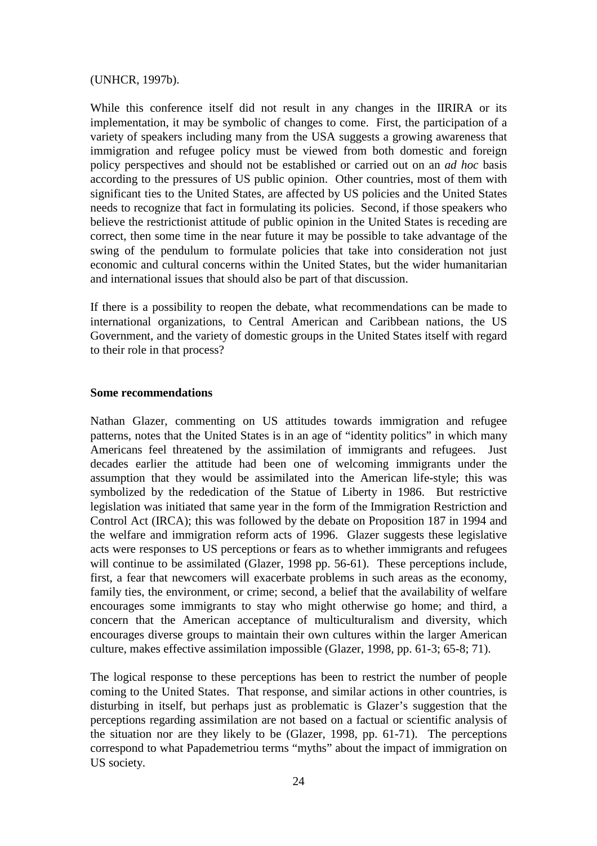#### (UNHCR, 1997b).

While this conference itself did not result in any changes in the IIRIRA or its implementation, it may be symbolic of changes to come. First, the participation of a variety of speakers including many from the USA suggests a growing awareness that immigration and refugee policy must be viewed from both domestic and foreign policy perspectives and should not be established or carried out on an *ad hoc* basis according to the pressures of US public opinion. Other countries, most of them with significant ties to the United States, are affected by US policies and the United States needs to recognize that fact in formulating its policies. Second, if those speakers who believe the restrictionist attitude of public opinion in the United States is receding are correct, then some time in the near future it may be possible to take advantage of the swing of the pendulum to formulate policies that take into consideration not just economic and cultural concerns within the United States, but the wider humanitarian and international issues that should also be part of that discussion.

If there is a possibility to reopen the debate, what recommendations can be made to international organizations, to Central American and Caribbean nations, the US Government, and the variety of domestic groups in the United States itself with regard to their role in that process?

#### **Some recommendations**

Nathan Glazer, commenting on US attitudes towards immigration and refugee patterns, notes that the United States is in an age of "identity politics" in which many Americans feel threatened by the assimilation of immigrants and refugees. Just decades earlier the attitude had been one of welcoming immigrants under the assumption that they would be assimilated into the American life-style; this was symbolized by the rededication of the Statue of Liberty in 1986. But restrictive legislation was initiated that same year in the form of the Immigration Restriction and Control Act (IRCA); this was followed by the debate on Proposition 187 in 1994 and the welfare and immigration reform acts of 1996. Glazer suggests these legislative acts were responses to US perceptions or fears as to whether immigrants and refugees will continue to be assimilated (Glazer, 1998 pp. 56-61). These perceptions include, first, a fear that newcomers will exacerbate problems in such areas as the economy, family ties, the environment, or crime; second, a belief that the availability of welfare encourages some immigrants to stay who might otherwise go home; and third, a concern that the American acceptance of multiculturalism and diversity, which encourages diverse groups to maintain their own cultures within the larger American culture, makes effective assimilation impossible (Glazer, 1998, pp. 61-3; 65-8; 71).

The logical response to these perceptions has been to restrict the number of people coming to the United States. That response, and similar actions in other countries, is disturbing in itself, but perhaps just as problematic is Glazer's suggestion that the perceptions regarding assimilation are not based on a factual or scientific analysis of the situation nor are they likely to be (Glazer, 1998, pp. 61-71). The perceptions correspond to what Papademetriou terms "myths" about the impact of immigration on US society.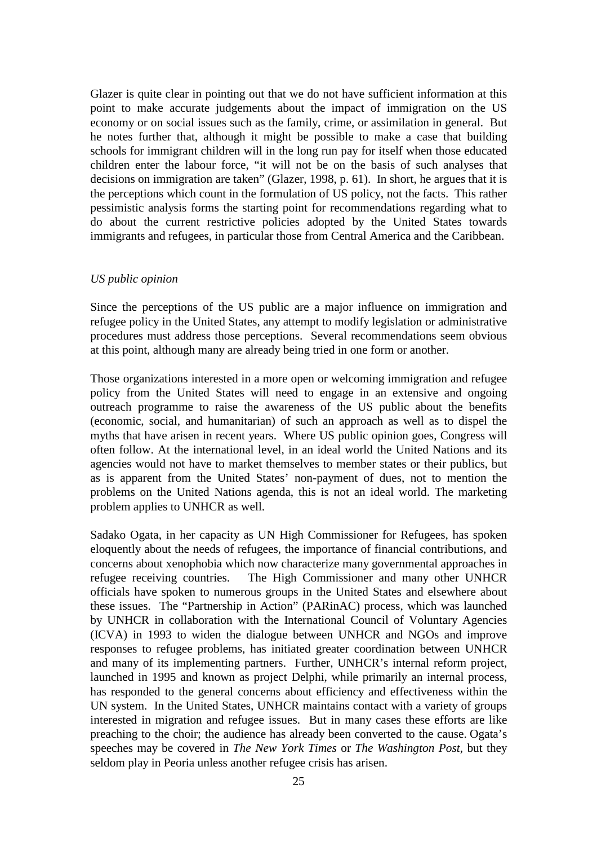Glazer is quite clear in pointing out that we do not have sufficient information at this point to make accurate judgements about the impact of immigration on the US economy or on social issues such as the family, crime, or assimilation in general. But he notes further that, although it might be possible to make a case that building schools for immigrant children will in the long run pay for itself when those educated children enter the labour force, "it will not be on the basis of such analyses that decisions on immigration are taken" (Glazer, 1998, p. 61). In short, he argues that it is the perceptions which count in the formulation of US policy, not the facts. This rather pessimistic analysis forms the starting point for recommendations regarding what to do about the current restrictive policies adopted by the United States towards immigrants and refugees, in particular those from Central America and the Caribbean.

#### *US public opinion*

Since the perceptions of the US public are a major influence on immigration and refugee policy in the United States, any attempt to modify legislation or administrative procedures must address those perceptions. Several recommendations seem obvious at this point, although many are already being tried in one form or another.

Those organizations interested in a more open or welcoming immigration and refugee policy from the United States will need to engage in an extensive and ongoing outreach programme to raise the awareness of the US public about the benefits (economic, social, and humanitarian) of such an approach as well as to dispel the myths that have arisen in recent years. Where US public opinion goes, Congress will often follow. At the international level, in an ideal world the United Nations and its agencies would not have to market themselves to member states or their publics, but as is apparent from the United States' non-payment of dues, not to mention the problems on the United Nations agenda, this is not an ideal world. The marketing problem applies to UNHCR as well.

Sadako Ogata, in her capacity as UN High Commissioner for Refugees, has spoken eloquently about the needs of refugees, the importance of financial contributions, and concerns about xenophobia which now characterize many governmental approaches in refugee receiving countries. The High Commissioner and many other UNHCR officials have spoken to numerous groups in the United States and elsewhere about these issues. The "Partnership in Action" (PARinAC) process, which was launched by UNHCR in collaboration with the International Council of Voluntary Agencies (ICVA) in 1993 to widen the dialogue between UNHCR and NGOs and improve responses to refugee problems, has initiated greater coordination between UNHCR and many of its implementing partners. Further, UNHCR's internal reform project, launched in 1995 and known as project Delphi, while primarily an internal process, has responded to the general concerns about efficiency and effectiveness within the UN system. In the United States, UNHCR maintains contact with a variety of groups interested in migration and refugee issues. But in many cases these efforts are like preaching to the choir; the audience has already been converted to the cause. Ogata's speeches may be covered in *The New York Times* or *The Washington Post*, but they seldom play in Peoria unless another refugee crisis has arisen.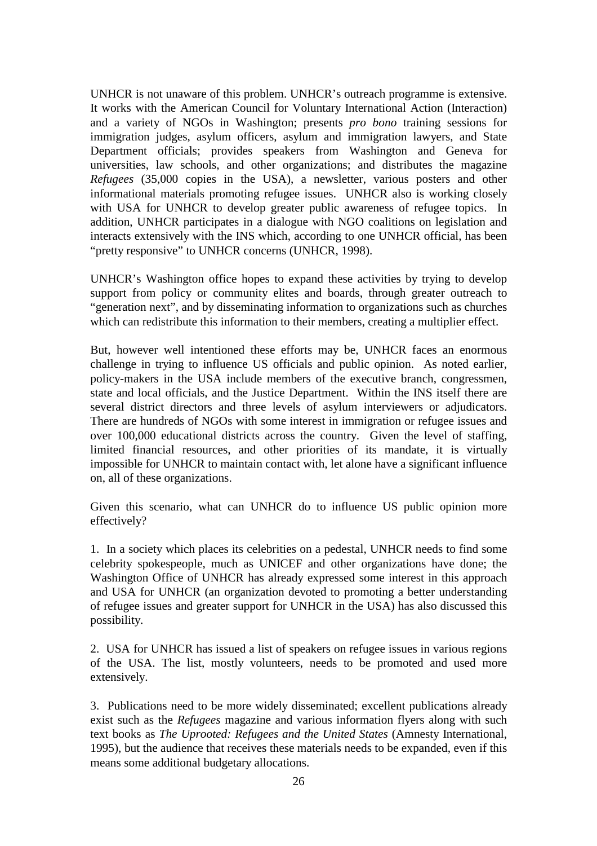UNHCR is not unaware of this problem. UNHCR's outreach programme is extensive. It works with the American Council for Voluntary International Action (Interaction) and a variety of NGOs in Washington; presents *pro bono* training sessions for immigration judges, asylum officers, asylum and immigration lawyers, and State Department officials; provides speakers from Washington and Geneva for universities, law schools, and other organizations; and distributes the magazine *Refugees* (35,000 copies in the USA), a newsletter, various posters and other informational materials promoting refugee issues. UNHCR also is working closely with USA for UNHCR to develop greater public awareness of refugee topics. In addition, UNHCR participates in a dialogue with NGO coalitions on legislation and interacts extensively with the INS which, according to one UNHCR official, has been "pretty responsive" to UNHCR concerns (UNHCR, 1998).

UNHCR's Washington office hopes to expand these activities by trying to develop support from policy or community elites and boards, through greater outreach to "generation next", and by disseminating information to organizations such as churches which can redistribute this information to their members, creating a multiplier effect.

But, however well intentioned these efforts may be, UNHCR faces an enormous challenge in trying to influence US officials and public opinion. As noted earlier, policy-makers in the USA include members of the executive branch, congressmen, state and local officials, and the Justice Department. Within the INS itself there are several district directors and three levels of asylum interviewers or adjudicators. There are hundreds of NGOs with some interest in immigration or refugee issues and over 100,000 educational districts across the country. Given the level of staffing, limited financial resources, and other priorities of its mandate, it is virtually impossible for UNHCR to maintain contact with, let alone have a significant influence on, all of these organizations.

Given this scenario, what can UNHCR do to influence US public opinion more effectively?

1. In a society which places its celebrities on a pedestal, UNHCR needs to find some celebrity spokespeople, much as UNICEF and other organizations have done; the Washington Office of UNHCR has already expressed some interest in this approach and USA for UNHCR (an organization devoted to promoting a better understanding of refugee issues and greater support for UNHCR in the USA) has also discussed this possibility.

2. USA for UNHCR has issued a list of speakers on refugee issues in various regions of the USA. The list, mostly volunteers, needs to be promoted and used more extensively.

3. Publications need to be more widely disseminated; excellent publications already exist such as the *Refugees* magazine and various information flyers along with such text books as *The Uprooted: Refugees and the United States* (Amnesty International, 1995), but the audience that receives these materials needs to be expanded, even if this means some additional budgetary allocations.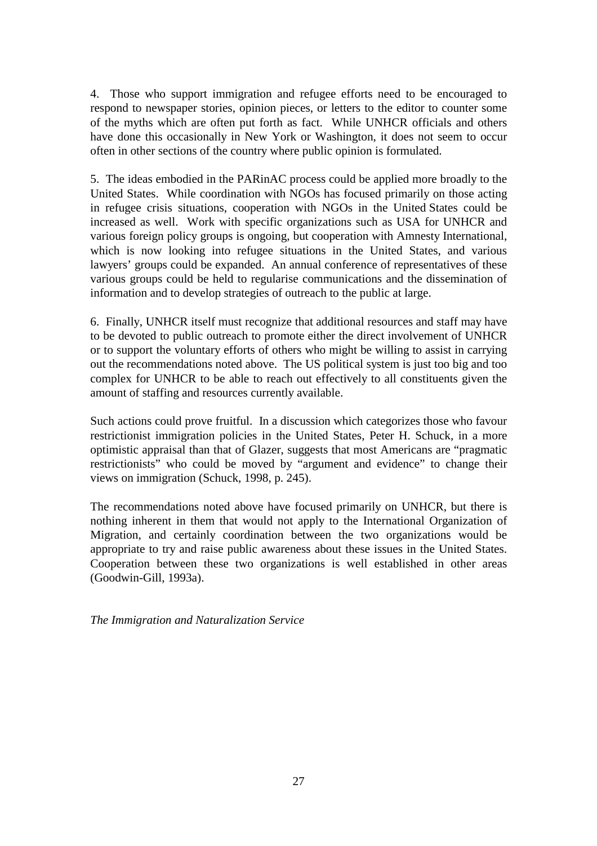4. Those who support immigration and refugee efforts need to be encouraged to respond to newspaper stories, opinion pieces, or letters to the editor to counter some of the myths which are often put forth as fact. While UNHCR officials and others have done this occasionally in New York or Washington, it does not seem to occur often in other sections of the country where public opinion is formulated.

5. The ideas embodied in the PARinAC process could be applied more broadly to the United States. While coordination with NGOs has focused primarily on those acting in refugee crisis situations, cooperation with NGOs in the United States could be increased as well. Work with specific organizations such as USA for UNHCR and various foreign policy groups is ongoing, but cooperation with Amnesty International, which is now looking into refugee situations in the United States, and various lawyers' groups could be expanded. An annual conference of representatives of these various groups could be held to regularise communications and the dissemination of information and to develop strategies of outreach to the public at large.

6. Finally, UNHCR itself must recognize that additional resources and staff may have to be devoted to public outreach to promote either the direct involvement of UNHCR or to support the voluntary efforts of others who might be willing to assist in carrying out the recommendations noted above. The US political system is just too big and too complex for UNHCR to be able to reach out effectively to all constituents given the amount of staffing and resources currently available.

Such actions could prove fruitful. In a discussion which categorizes those who favour restrictionist immigration policies in the United States, Peter H. Schuck, in a more optimistic appraisal than that of Glazer, suggests that most Americans are "pragmatic restrictionists" who could be moved by "argument and evidence" to change their views on immigration (Schuck, 1998, p. 245).

The recommendations noted above have focused primarily on UNHCR, but there is nothing inherent in them that would not apply to the International Organization of Migration, and certainly coordination between the two organizations would be appropriate to try and raise public awareness about these issues in the United States. Cooperation between these two organizations is well established in other areas (Goodwin-Gill, 1993a).

*The Immigration and Naturalization Service*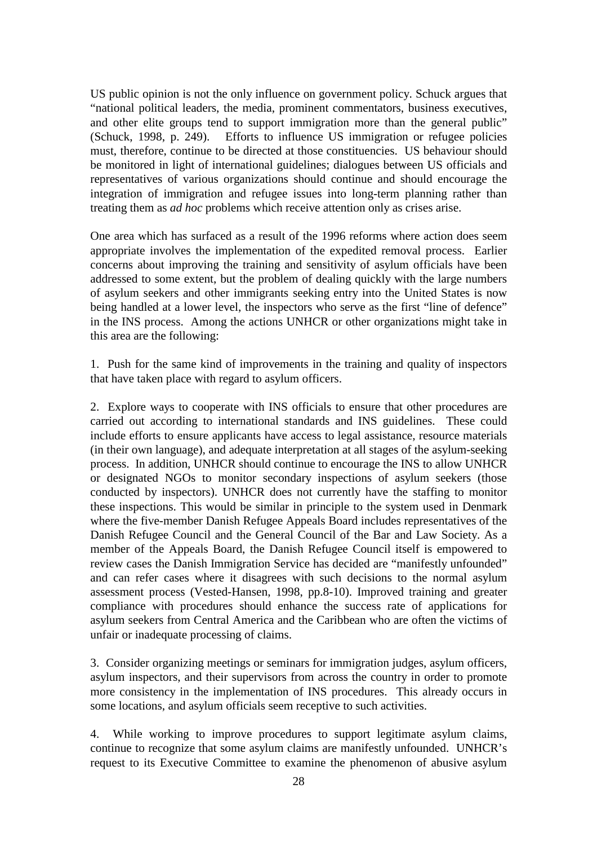US public opinion is not the only influence on government policy. Schuck argues that "national political leaders, the media, prominent commentators, business executives, and other elite groups tend to support immigration more than the general public" (Schuck, 1998, p. 249). Efforts to influence US immigration or refugee policies must, therefore, continue to be directed at those constituencies. US behaviour should be monitored in light of international guidelines; dialogues between US officials and representatives of various organizations should continue and should encourage the integration of immigration and refugee issues into long-term planning rather than treating them as *ad hoc* problems which receive attention only as crises arise.

One area which has surfaced as a result of the 1996 reforms where action does seem appropriate involves the implementation of the expedited removal process. Earlier concerns about improving the training and sensitivity of asylum officials have been addressed to some extent, but the problem of dealing quickly with the large numbers of asylum seekers and other immigrants seeking entry into the United States is now being handled at a lower level, the inspectors who serve as the first "line of defence" in the INS process. Among the actions UNHCR or other organizations might take in this area are the following:

1. Push for the same kind of improvements in the training and quality of inspectors that have taken place with regard to asylum officers.

2. Explore ways to cooperate with INS officials to ensure that other procedures are carried out according to international standards and INS guidelines. These could include efforts to ensure applicants have access to legal assistance, resource materials (in their own language), and adequate interpretation at all stages of the asylum-seeking process. In addition, UNHCR should continue to encourage the INS to allow UNHCR or designated NGOs to monitor secondary inspections of asylum seekers (those conducted by inspectors). UNHCR does not currently have the staffing to monitor these inspections. This would be similar in principle to the system used in Denmark where the five-member Danish Refugee Appeals Board includes representatives of the Danish Refugee Council and the General Council of the Bar and Law Society. As a member of the Appeals Board, the Danish Refugee Council itself is empowered to review cases the Danish Immigration Service has decided are "manifestly unfounded" and can refer cases where it disagrees with such decisions to the normal asylum assessment process (Vested-Hansen, 1998, pp.8-10). Improved training and greater compliance with procedures should enhance the success rate of applications for asylum seekers from Central America and the Caribbean who are often the victims of unfair or inadequate processing of claims.

3. Consider organizing meetings or seminars for immigration judges, asylum officers, asylum inspectors, and their supervisors from across the country in order to promote more consistency in the implementation of INS procedures. This already occurs in some locations, and asylum officials seem receptive to such activities.

4. While working to improve procedures to support legitimate asylum claims, continue to recognize that some asylum claims are manifestly unfounded. UNHCR's request to its Executive Committee to examine the phenomenon of abusive asylum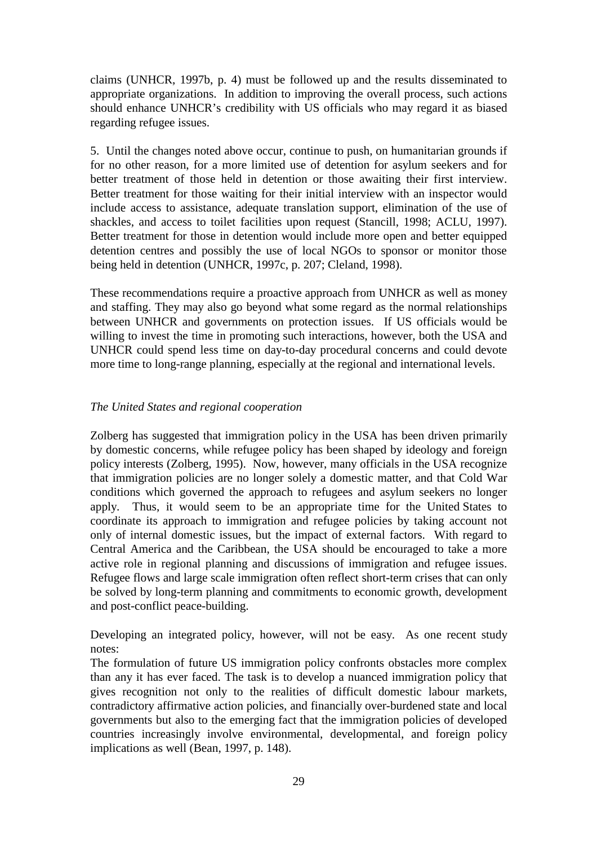claims (UNHCR, 1997b, p. 4) must be followed up and the results disseminated to appropriate organizations. In addition to improving the overall process, such actions should enhance UNHCR's credibility with US officials who may regard it as biased regarding refugee issues.

5. Until the changes noted above occur, continue to push, on humanitarian grounds if for no other reason, for a more limited use of detention for asylum seekers and for better treatment of those held in detention or those awaiting their first interview. Better treatment for those waiting for their initial interview with an inspector would include access to assistance, adequate translation support, elimination of the use of shackles, and access to toilet facilities upon request (Stancill, 1998; ACLU, 1997). Better treatment for those in detention would include more open and better equipped detention centres and possibly the use of local NGOs to sponsor or monitor those being held in detention (UNHCR, 1997c, p. 207; Cleland, 1998).

These recommendations require a proactive approach from UNHCR as well as money and staffing. They may also go beyond what some regard as the normal relationships between UNHCR and governments on protection issues. If US officials would be willing to invest the time in promoting such interactions, however, both the USA and UNHCR could spend less time on day-to-day procedural concerns and could devote more time to long-range planning, especially at the regional and international levels.

# *The United States and regional cooperation*

Zolberg has suggested that immigration policy in the USA has been driven primarily by domestic concerns, while refugee policy has been shaped by ideology and foreign policy interests (Zolberg, 1995). Now, however, many officials in the USA recognize that immigration policies are no longer solely a domestic matter, and that Cold War conditions which governed the approach to refugees and asylum seekers no longer apply. Thus, it would seem to be an appropriate time for the United States to coordinate its approach to immigration and refugee policies by taking account not only of internal domestic issues, but the impact of external factors. With regard to Central America and the Caribbean, the USA should be encouraged to take a more active role in regional planning and discussions of immigration and refugee issues. Refugee flows and large scale immigration often reflect short-term crises that can only be solved by long-term planning and commitments to economic growth, development and post-conflict peace-building.

Developing an integrated policy, however, will not be easy. As one recent study notes:

The formulation of future US immigration policy confronts obstacles more complex than any it has ever faced. The task is to develop a nuanced immigration policy that gives recognition not only to the realities of difficult domestic labour markets, contradictory affirmative action policies, and financially over-burdened state and local governments but also to the emerging fact that the immigration policies of developed countries increasingly involve environmental, developmental, and foreign policy implications as well (Bean, 1997, p. 148).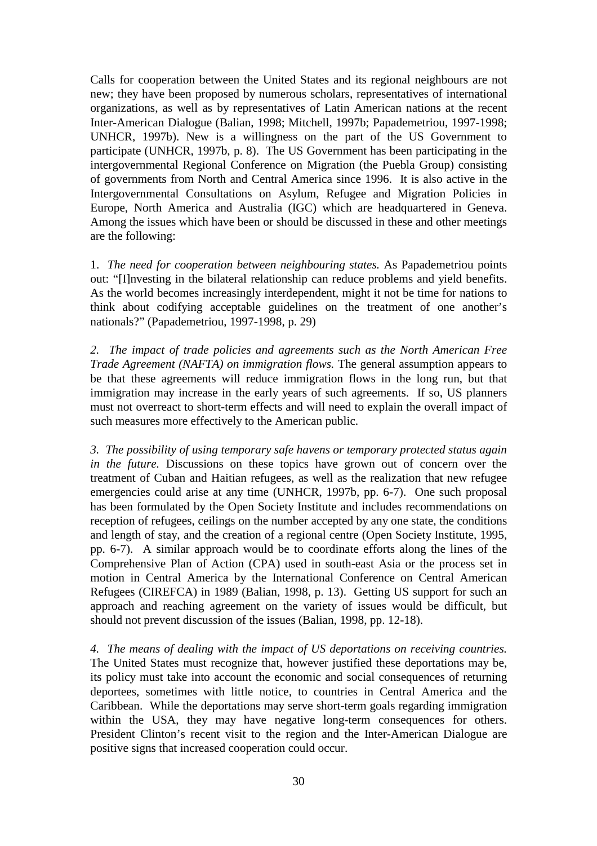Calls for cooperation between the United States and its regional neighbours are not new; they have been proposed by numerous scholars, representatives of international organizations, as well as by representatives of Latin American nations at the recent Inter-American Dialogue (Balian, 1998; Mitchell, 1997b; Papademetriou, 1997-1998; UNHCR, 1997b). New is a willingness on the part of the US Government to participate (UNHCR, 1997b, p. 8). The US Government has been participating in the intergovernmental Regional Conference on Migration (the Puebla Group) consisting of governments from North and Central America since 1996. It is also active in the Intergovernmental Consultations on Asylum, Refugee and Migration Policies in Europe, North America and Australia (IGC) which are headquartered in Geneva. Among the issues which have been or should be discussed in these and other meetings are the following:

1. *The need for cooperation between neighbouring states.* As Papademetriou points out: "[I]nvesting in the bilateral relationship can reduce problems and yield benefits. As the world becomes increasingly interdependent, might it not be time for nations to think about codifying acceptable guidelines on the treatment of one another's nationals?" (Papademetriou, 1997-1998, p. 29)

*2. The impact of trade policies and agreements such as the North American Free Trade Agreement (NAFTA) on immigration flows.* The general assumption appears to be that these agreements will reduce immigration flows in the long run, but that immigration may increase in the early years of such agreements. If so, US planners must not overreact to short-term effects and will need to explain the overall impact of such measures more effectively to the American public.

*3. The possibility of using temporary safe havens or temporary protected status again in the future.* Discussions on these topics have grown out of concern over the treatment of Cuban and Haitian refugees, as well as the realization that new refugee emergencies could arise at any time (UNHCR, 1997b, pp. 6-7). One such proposal has been formulated by the Open Society Institute and includes recommendations on reception of refugees, ceilings on the number accepted by any one state, the conditions and length of stay, and the creation of a regional centre (Open Society Institute, 1995, pp. 6-7). A similar approach would be to coordinate efforts along the lines of the Comprehensive Plan of Action (CPA) used in south-east Asia or the process set in motion in Central America by the International Conference on Central American Refugees (CIREFCA) in 1989 (Balian, 1998, p. 13). Getting US support for such an approach and reaching agreement on the variety of issues would be difficult, but should not prevent discussion of the issues (Balian, 1998, pp. 12-18).

*4. The means of dealing with the impact of US deportations on receiving countries.* The United States must recognize that, however justified these deportations may be, its policy must take into account the economic and social consequences of returning deportees, sometimes with little notice, to countries in Central America and the Caribbean. While the deportations may serve short-term goals regarding immigration within the USA, they may have negative long-term consequences for others. President Clinton's recent visit to the region and the Inter-American Dialogue are positive signs that increased cooperation could occur.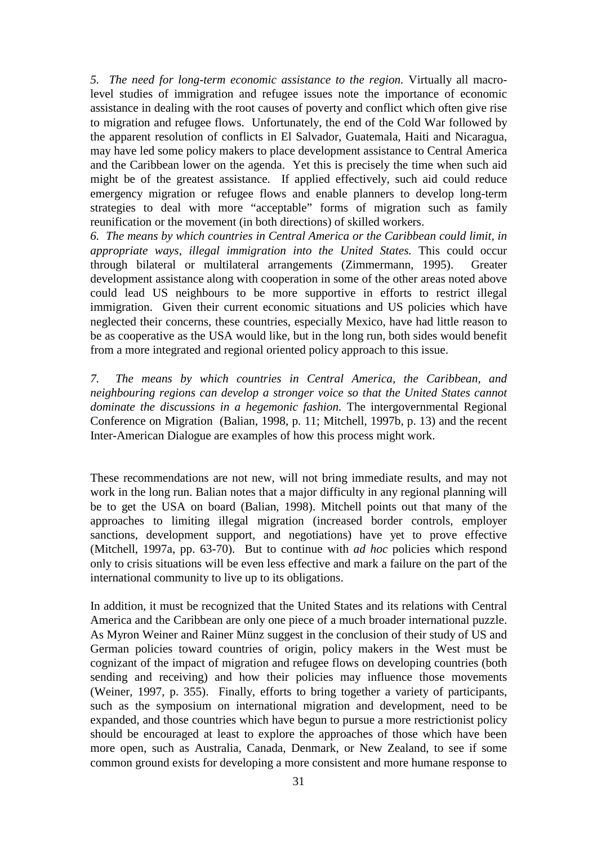*5. The need for long-term economic assistance to the region.* Virtually all macrolevel studies of immigration and refugee issues note the importance of economic assistance in dealing with the root causes of poverty and conflict which often give rise to migration and refugee flows. Unfortunately, the end of the Cold War followed by the apparent resolution of conflicts in El Salvador, Guatemala, Haiti and Nicaragua, may have led some policy makers to place development assistance to Central America and the Caribbean lower on the agenda. Yet this is precisely the time when such aid might be of the greatest assistance. If applied effectively, such aid could reduce emergency migration or refugee flows and enable planners to develop long-term strategies to deal with more "acceptable" forms of migration such as family reunification or the movement (in both directions) of skilled workers.

*6. The means by which countries in Central America or the Caribbean could limit, in appropriate ways, illegal immigration into the United States.* This could occur through bilateral or multilateral arrangements (Zimmermann, 1995). Greater development assistance along with cooperation in some of the other areas noted above could lead US neighbours to be more supportive in efforts to restrict illegal immigration. Given their current economic situations and US policies which have neglected their concerns, these countries, especially Mexico, have had little reason to be as cooperative as the USA would like, but in the long run, both sides would benefit from a more integrated and regional oriented policy approach to this issue.

*7. The means by which countries in Central America, the Caribbean, and neighbouring regions can develop a stronger voice so that the United States cannot dominate the discussions in a hegemonic fashion.* The intergovernmental Regional Conference on Migration (Balian, 1998, p. 11; Mitchell, 1997b, p. 13) and the recent Inter-American Dialogue are examples of how this process might work.

These recommendations are not new, will not bring immediate results, and may not work in the long run. Balian notes that a major difficulty in any regional planning will be to get the USA on board (Balian, 1998). Mitchell points out that many of the approaches to limiting illegal migration (increased border controls, employer sanctions, development support, and negotiations) have yet to prove effective (Mitchell, 1997a, pp. 63-70). But to continue with *ad hoc* policies which respond only to crisis situations will be even less effective and mark a failure on the part of the international community to live up to its obligations.

In addition, it must be recognized that the United States and its relations with Central America and the Caribbean are only one piece of a much broader international puzzle. As Myron Weiner and Rainer Münz suggest in the conclusion of their study of US and German policies toward countries of origin, policy makers in the West must be cognizant of the impact of migration and refugee flows on developing countries (both sending and receiving) and how their policies may influence those movements (Weiner, 1997, p. 355). Finally, efforts to bring together a variety of participants, such as the symposium on international migration and development, need to be expanded, and those countries which have begun to pursue a more restrictionist policy should be encouraged at least to explore the approaches of those which have been more open, such as Australia, Canada, Denmark, or New Zealand, to see if some common ground exists for developing a more consistent and more humane response to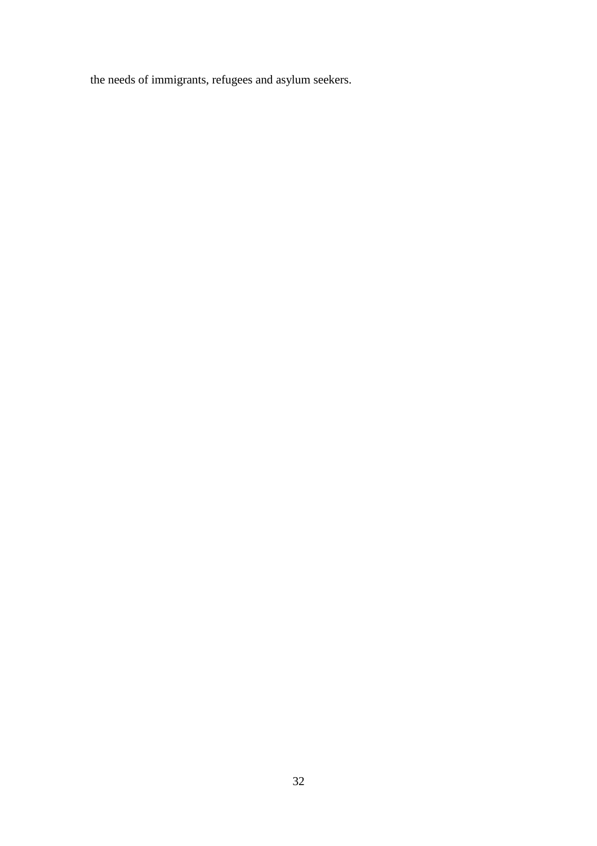the needs of immigrants, refugees and asylum seekers.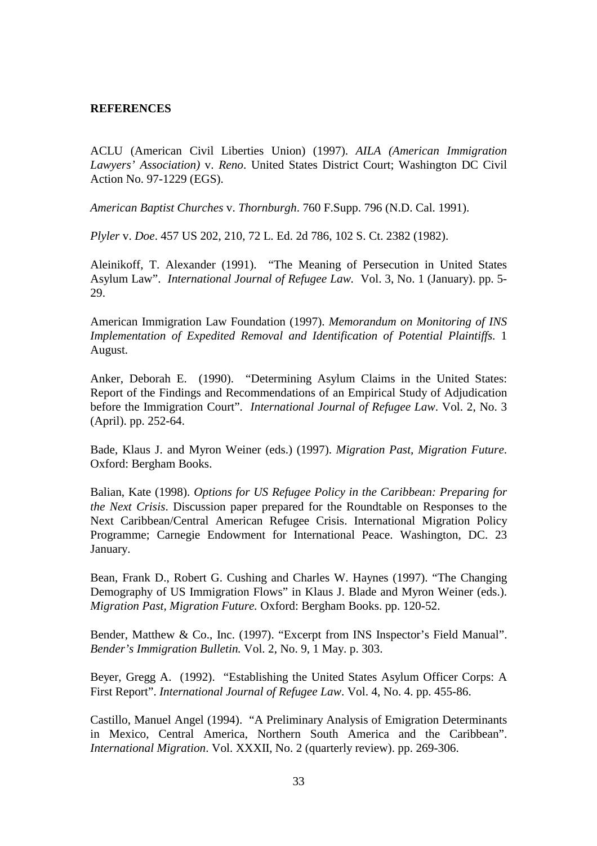## **REFERENCES**

ACLU (American Civil Liberties Union) (1997). *AILA (American Immigration Lawyers' Association)* v. *Reno*. United States District Court; Washington DC Civil Action No. 97-1229 (EGS).

*American Baptist Churches* v. *Thornburgh*. 760 F.Supp. 796 (N.D. Cal. 1991).

*Plyler* v. *Doe*. 457 US 202, 210, 72 L. Ed. 2d 786, 102 S. Ct. 2382 (1982).

Aleinikoff, T. Alexander (1991). "The Meaning of Persecution in United States Asylum Law". *International Journal of Refugee Law.* Vol. 3, No. 1 (January). pp. 5- 29.

American Immigration Law Foundation (1997). *Memorandum on Monitoring of INS Implementation of Expedited Removal and Identification of Potential Plaintiffs*. 1 August.

Anker, Deborah E. (1990). "Determining Asylum Claims in the United States: Report of the Findings and Recommendations of an Empirical Study of Adjudication before the Immigration Court". *International Journal of Refugee Law*. Vol. 2, No. 3 (April). pp. 252-64.

Bade, Klaus J. and Myron Weiner (eds.) (1997). *Migration Past, Migration Future*. Oxford: Bergham Books.

Balian, Kate (1998). *Options for US Refugee Policy in the Caribbean: Preparing for the Next Crisis*. Discussion paper prepared for the Roundtable on Responses to the Next Caribbean/Central American Refugee Crisis. International Migration Policy Programme; Carnegie Endowment for International Peace. Washington, DC. 23 January.

Bean, Frank D., Robert G. Cushing and Charles W. Haynes (1997). "The Changing Demography of US Immigration Flows" in Klaus J. Blade and Myron Weiner (eds.). *Migration Past, Migration Future.* Oxford: Bergham Books. pp. 120-52.

Bender, Matthew & Co., Inc. (1997). "Excerpt from INS Inspector's Field Manual". *Bender's Immigration Bulletin.* Vol. 2, No. 9, 1 May. p. 303.

Beyer, Gregg A. (1992). "Establishing the United States Asylum Officer Corps: A First Report". *International Journal of Refugee Law*. Vol. 4, No. 4. pp. 455-86.

Castillo, Manuel Angel (1994). "A Preliminary Analysis of Emigration Determinants in Mexico, Central America, Northern South America and the Caribbean". *International Migration*. Vol. XXXII, No. 2 (quarterly review). pp. 269-306.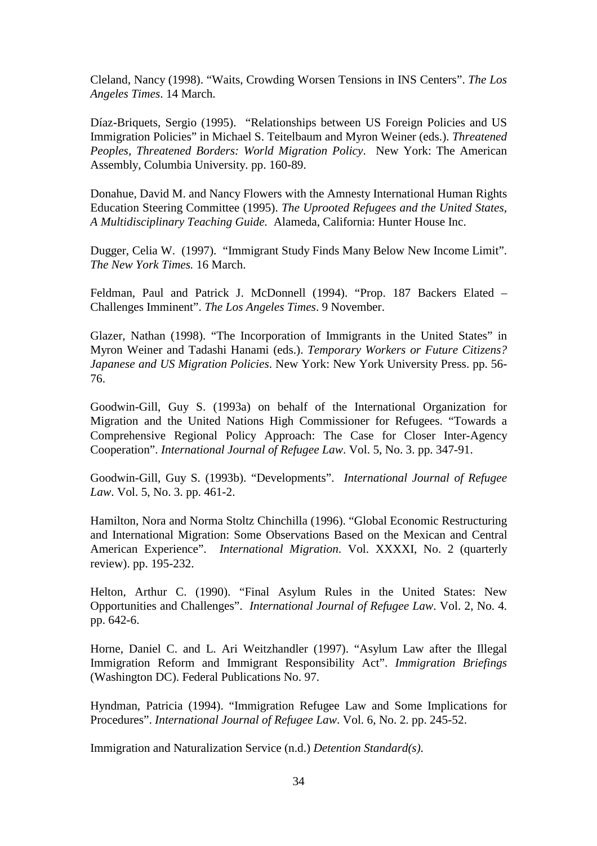Cleland, Nancy (1998). "Waits, Crowding Worsen Tensions in INS Centers". *The Los Angeles Times*. 14 March.

Díaz-Briquets, Sergio (1995). "Relationships between US Foreign Policies and US Immigration Policies" in Michael S. Teitelbaum and Myron Weiner (eds.). *Threatened Peoples, Threatened Borders: World Migration Policy*. New York: The American Assembly, Columbia University. pp. 160-89.

Donahue, David M. and Nancy Flowers with the Amnesty International Human Rights Education Steering Committee (1995). *The Uprooted Refugees and the United States, A Multidisciplinary Teaching Guide.* Alameda, California: Hunter House Inc.

Dugger, Celia W. (1997). "Immigrant Study Finds Many Below New Income Limit". *The New York Times.* 16 March.

Feldman, Paul and Patrick J. McDonnell (1994). "Prop. 187 Backers Elated – Challenges Imminent". *The Los Angeles Times*. 9 November.

Glazer, Nathan (1998). "The Incorporation of Immigrants in the United States" in Myron Weiner and Tadashi Hanami (eds.). *Temporary Workers or Future Citizens? Japanese and US Migration Policies*. New York: New York University Press. pp. 56- 76.

Goodwin-Gill, Guy S. (1993a) on behalf of the International Organization for Migration and the United Nations High Commissioner for Refugees. "Towards a Comprehensive Regional Policy Approach: The Case for Closer Inter-Agency Cooperation". *International Journal of Refugee Law*. Vol. 5, No. 3. pp. 347-91.

Goodwin-Gill, Guy S. (1993b). "Developments". *International Journal of Refugee Law*. Vol. 5, No. 3. pp. 461-2.

Hamilton, Nora and Norma Stoltz Chinchilla (1996). "Global Economic Restructuring and International Migration: Some Observations Based on the Mexican and Central American Experience". *International Migration*. Vol. XXXXI, No. 2 (quarterly review). pp. 195-232.

Helton, Arthur C. (1990). "Final Asylum Rules in the United States: New Opportunities and Challenges". *International Journal of Refugee Law*. Vol. 2, No. 4. pp. 642-6.

Horne, Daniel C. and L. Ari Weitzhandler (1997). "Asylum Law after the Illegal Immigration Reform and Immigrant Responsibility Act". *Immigration Briefings* (Washington DC). Federal Publications No. 97.

Hyndman, Patricia (1994). "Immigration Refugee Law and Some Implications for Procedures". *International Journal of Refugee Law*. Vol. 6, No. 2. pp. 245-52.

Immigration and Naturalization Service (n.d.) *Detention Standard(s)*.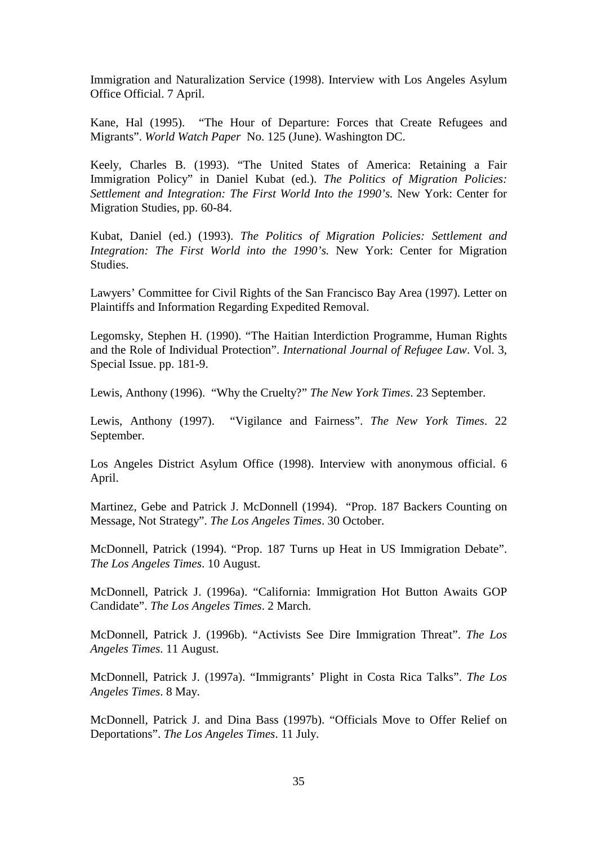Immigration and Naturalization Service (1998). Interview with Los Angeles Asylum Office Official. 7 April.

Kane, Hal (1995). "The Hour of Departure: Forces that Create Refugees and Migrants". *World Watch Paper* No. 125 (June). Washington DC.

Keely, Charles B. (1993). "The United States of America: Retaining a Fair Immigration Policy" in Daniel Kubat (ed.). *The Politics of Migration Policies: Settlement and Integration: The First World Into the 1990's.* New York: Center for Migration Studies, pp. 60-84.

Kubat, Daniel (ed.) (1993). *The Politics of Migration Policies: Settlement and Integration: The First World into the 1990's.* New York: Center for Migration Studies.

Lawyers' Committee for Civil Rights of the San Francisco Bay Area (1997). Letter on Plaintiffs and Information Regarding Expedited Removal.

Legomsky, Stephen H. (1990). "The Haitian Interdiction Programme, Human Rights and the Role of Individual Protection". *International Journal of Refugee Law*. Vol. 3, Special Issue. pp. 181-9.

Lewis, Anthony (1996). "Why the Cruelty?" *The New York Times*. 23 September.

Lewis, Anthony (1997). "Vigilance and Fairness". *The New York Times*. 22 September.

Los Angeles District Asylum Office (1998). Interview with anonymous official. 6 April.

Martinez, Gebe and Patrick J. McDonnell (1994). "Prop. 187 Backers Counting on Message, Not Strategy". *The Los Angeles Times*. 30 October.

McDonnell, Patrick (1994). "Prop. 187 Turns up Heat in US Immigration Debate". *The Los Angeles Times*. 10 August.

McDonnell, Patrick J. (1996a). "California: Immigration Hot Button Awaits GOP Candidate". *The Los Angeles Times*. 2 March.

McDonnell, Patrick J. (1996b). "Activists See Dire Immigration Threat". *The Los Angeles Times*. 11 August.

McDonnell, Patrick J. (1997a). "Immigrants' Plight in Costa Rica Talks". *The Los Angeles Times*. 8 May.

McDonnell, Patrick J. and Dina Bass (1997b). "Officials Move to Offer Relief on Deportations". *The Los Angeles Times*. 11 July.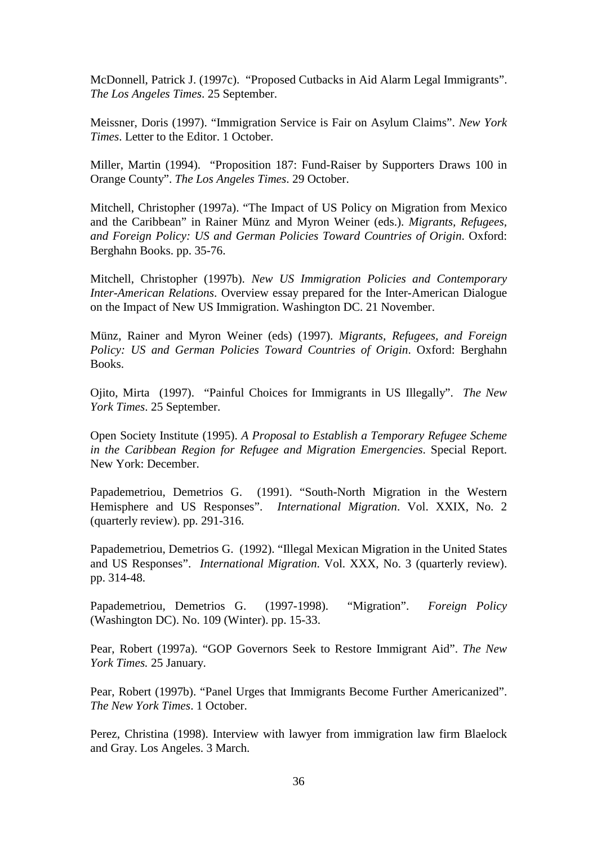McDonnell, Patrick J. (1997c). "Proposed Cutbacks in Aid Alarm Legal Immigrants". *The Los Angeles Times*. 25 September.

Meissner, Doris (1997). "Immigration Service is Fair on Asylum Claims". *New York Times*. Letter to the Editor. 1 October.

Miller, Martin (1994). "Proposition 187: Fund-Raiser by Supporters Draws 100 in Orange County". *The Los Angeles Times*. 29 October.

Mitchell, Christopher (1997a). "The Impact of US Policy on Migration from Mexico and the Caribbean" in Rainer Münz and Myron Weiner (eds.). *Migrants, Refugees, and Foreign Policy: US and German Policies Toward Countries of Origin*. Oxford: Berghahn Books. pp. 35-76.

Mitchell, Christopher (1997b). *New US Immigration Policies and Contemporary Inter-American Relations*. Overview essay prepared for the Inter-American Dialogue on the Impact of New US Immigration. Washington DC. 21 November.

Münz, Rainer and Myron Weiner (eds) (1997). *Migrants, Refugees, and Foreign Policy: US and German Policies Toward Countries of Origin*. Oxford: Berghahn Books.

Ojito, Mirta (1997). "Painful Choices for Immigrants in US Illegally". *The New York Times*. 25 September.

Open Society Institute (1995). *A Proposal to Establish a Temporary Refugee Scheme in the Caribbean Region for Refugee and Migration Emergencies*. Special Report. New York: December.

Papademetriou, Demetrios G. (1991). "South-North Migration in the Western Hemisphere and US Responses". *International Migration*. Vol. XXIX, No. 2 (quarterly review). pp. 291-316.

Papademetriou, Demetrios G. (1992). "Illegal Mexican Migration in the United States and US Responses". *International Migration*. Vol. XXX, No. 3 (quarterly review). pp. 314-48.

Papademetriou, Demetrios G. (1997-1998). "Migration". *Foreign Policy*  (Washington DC). No. 109 (Winter). pp. 15-33.

Pear, Robert (1997a). "GOP Governors Seek to Restore Immigrant Aid". *The New York Times.* 25 January.

Pear, Robert (1997b). "Panel Urges that Immigrants Become Further Americanized". *The New York Times*. 1 October.

Perez, Christina (1998). Interview with lawyer from immigration law firm Blaelock and Gray. Los Angeles. 3 March.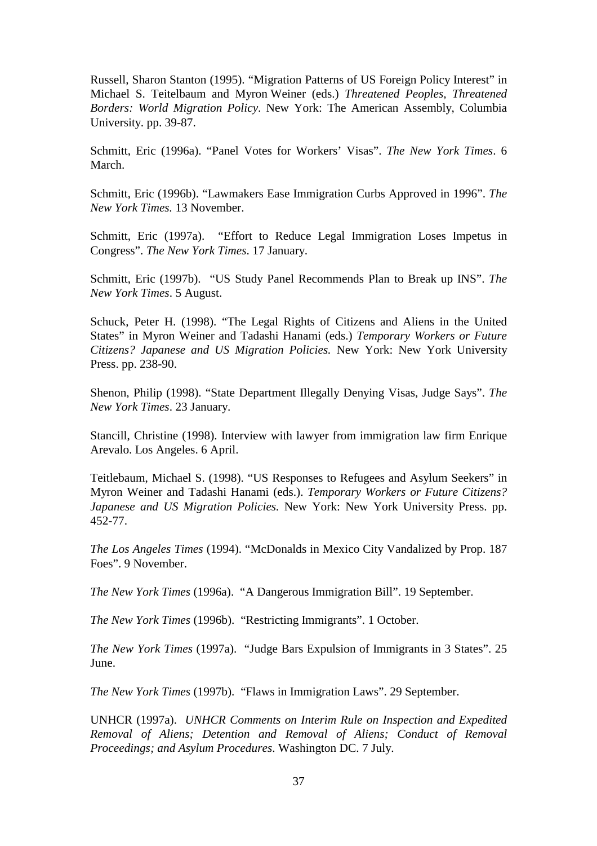Russell, Sharon Stanton (1995). "Migration Patterns of US Foreign Policy Interest" in Michael S. Teitelbaum and Myron Weiner (eds.) *Threatened Peoples, Threatened Borders: World Migration Policy*. New York: The American Assembly, Columbia University. pp. 39-87.

Schmitt, Eric (1996a). "Panel Votes for Workers' Visas". *The New York Times*. 6 March.

Schmitt, Eric (1996b). "Lawmakers Ease Immigration Curbs Approved in 1996". *The New York Times.* 13 November.

Schmitt, Eric (1997a). "Effort to Reduce Legal Immigration Loses Impetus in Congress". *The New York Times*. 17 January.

Schmitt, Eric (1997b). "US Study Panel Recommends Plan to Break up INS". *The New York Times*. 5 August.

Schuck, Peter H. (1998). "The Legal Rights of Citizens and Aliens in the United States" in Myron Weiner and Tadashi Hanami (eds.) *Temporary Workers or Future Citizens? Japanese and US Migration Policies.* New York: New York University Press. pp. 238-90.

Shenon, Philip (1998). "State Department Illegally Denying Visas, Judge Says". *The New York Times*. 23 January.

Stancill, Christine (1998). Interview with lawyer from immigration law firm Enrique Arevalo. Los Angeles. 6 April.

Teitlebaum, Michael S. (1998). "US Responses to Refugees and Asylum Seekers" in Myron Weiner and Tadashi Hanami (eds.). *Temporary Workers or Future Citizens? Japanese and US Migration Policies.* New York: New York University Press. pp. 452-77.

*The Los Angeles Times* (1994). "McDonalds in Mexico City Vandalized by Prop. 187 Foes". 9 November.

*The New York Times* (1996a). "A Dangerous Immigration Bill". 19 September.

*The New York Times* (1996b). "Restricting Immigrants". 1 October.

*The New York Times* (1997a). "Judge Bars Expulsion of Immigrants in 3 States". 25 June.

*The New York Times* (1997b). "Flaws in Immigration Laws". 29 September.

UNHCR (1997a). *UNHCR Comments on Interim Rule on Inspection and Expedited Removal of Aliens; Detention and Removal of Aliens; Conduct of Removal Proceedings; and Asylum Procedures*. Washington DC. 7 July.